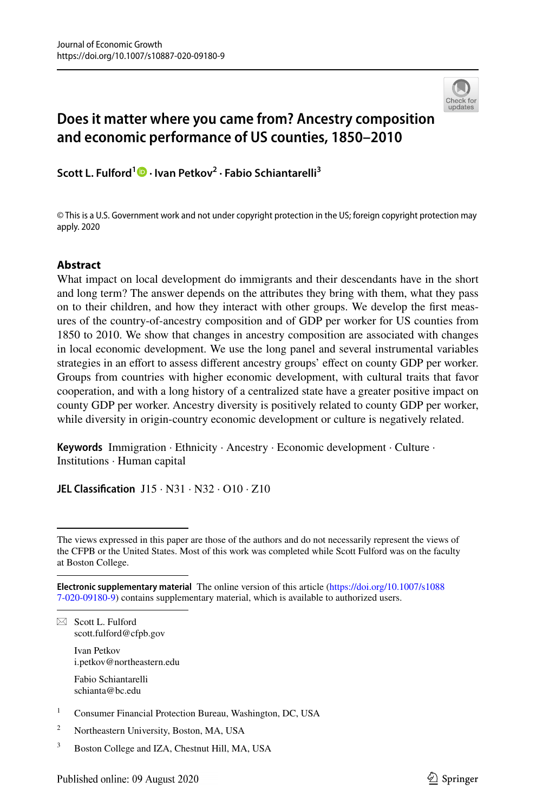

# **Does it matter where you came from? Ancestry composition and economic performance of US counties, 1850–2010**

**Scott L. Fulford<sup>1</sup>  [·](http://orcid.org/0000-0003-4881-7805) Ivan Petkov<sup>2</sup> · Fabio Schiantarelli<sup>3</sup>**

© This is a U.S. Government work and not under copyright protection in the US; foreign copyright protection may apply. 2020

## **Abstract**

What impact on local development do immigrants and their descendants have in the short and long term? The answer depends on the attributes they bring with them, what they pass on to their children, and how they interact with other groups. We develop the first measures of the country-of-ancestry composition and of GDP per worker for US counties from 1850 to 2010. We show that changes in ancestry composition are associated with changes in local economic development. We use the long panel and several instrumental variables strategies in an effort to assess different ancestry groups' effect on county GDP per worker. Groups from countries with higher economic development, with cultural traits that favor cooperation, and with a long history of a centralized state have a greater positive impact on county GDP per worker. Ancestry diversity is positively related to county GDP per worker, while diversity in origin-country economic development or culture is negatively related.

**Keywords** Immigration · Ethnicity · Ancestry · Economic development · Culture · Institutions · Human capital

**JEL Classification** J15 · N31 · N32 · O10 · Z10

 Ivan Petkov i.petkov@northeastern.edu

 Fabio Schiantarelli schianta@bc.edu

The views expressed in this paper are those of the authors and do not necessarily represent the views of the CFPB or the United States. Most of this work was completed while Scott Fulford was on the faculty at Boston College.

**Electronic supplementary material** The online version of this article [\(https ://doi.org/10.1007/s1088](https://doi.org/10.1007/s10887-020-09180-9)  7-020-09180-9) contains supplementary material, which is available to authorized users.

 $\boxtimes$  Scott L. Fulford scott.fulford@cfpb.gov

<sup>1</sup> Consumer Financial Protection Bureau, Washington, DC, USA

<sup>2</sup> Northeastern University, Boston, MA, USA

<sup>3</sup> Boston College and IZA, Chestnut Hill, MA, USA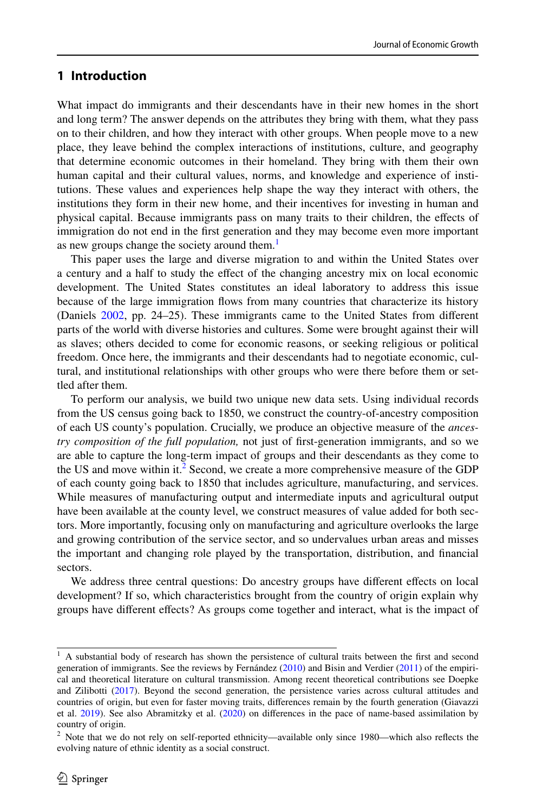## **1 Introduction**

What impact do immigrants and their descendants have in their new homes in the short and long term? The answer depends on the attributes they bring with them, what they pass on to their children, and how they interact with other groups. When people move to a new place, they leave behind the complex interactions of institutions, culture, and geography that determine economic outcomes in their homeland. They bring with them their own human capital and their cultural values, norms, and knowledge and experience of institutions. These values and experiences help shape the way they interact with others, the institutions they form in their new home, and their incentives for investing in human and physical capital. Because immigrants pass on many traits to their children, the effects of immigration do not end in the first generation and they may become even more important as new groups change the society around them. $<sup>1</sup>$  $<sup>1</sup>$  $<sup>1</sup>$ </sup>

This paper uses the large and diverse migration to and within the United States over a century and a half to study the effect of the changing ancestry mix on local economic development. The United States constitutes an ideal laboratory to address this issue because of the large immigration flows from many countries that characterize its history (Daniels [2002,](#page-38-0) pp. 24–25). These immigrants came to the United States from different parts of the world with diverse histories and cultures. Some were brought against their will as slaves; others decided to come for economic reasons, or seeking religious or political freedom. Once here, the immigrants and their descendants had to negotiate economic, cultural, and institutional relationships with other groups who were there before them or settled after them.

To perform our analysis, we build two unique new data sets. Using individual records from the US census going back to 1850, we construct the country-of-ancestry composition of each US county's population. Crucially, we produce an objective measure of the *ancestry composition of the full population,* not just of first-generation immigrants, and so we are able to capture the long-term impact of groups and their descendants as they come to the US and move within it. $<sup>2</sup>$  $<sup>2</sup>$  $<sup>2</sup>$  Second, we create a more comprehensive measure of the GDP</sup> of each county going back to 1850 that includes agriculture, manufacturing, and services. While measures of manufacturing output and intermediate inputs and agricultural output have been available at the county level, we construct measures of value added for both sectors. More importantly, focusing only on manufacturing and agriculture overlooks the large and growing contribution of the service sector, and so undervalues urban areas and misses the important and changing role played by the transportation, distribution, and financial sectors.

We address three central questions: Do ancestry groups have different effects on local development? If so, which characteristics brought from the country of origin explain why groups have different effects? As groups come together and interact, what is the impact of

<span id="page-1-0"></span><sup>1</sup> A substantial body of research has shown the persistence of cultural traits between the first and second generation of immigrants. See the reviews by Fernández ([2010\)](#page-38-1) and Bisin and Verdier ([2011\)](#page-38-2) of the empirical and theoretical literature on cultural transmission. Among recent theoretical contributions see Doepke and Zilibotti [\(2017](#page-38-3)). Beyond the second generation, the persistence varies across cultural attitudes and countries of origin, but even for faster moving traits, differences remain by the fourth generation (Giavazzi et al. [2019](#page-38-4)). See also Abramitzky et al. ([2020\)](#page-37-0) on differences in the pace of name-based assimilation by country of origin.

<span id="page-1-1"></span><sup>&</sup>lt;sup>2</sup> Note that we do not rely on self-reported ethnicity—available only since 1980—which also reflects the evolving nature of ethnic identity as a social construct.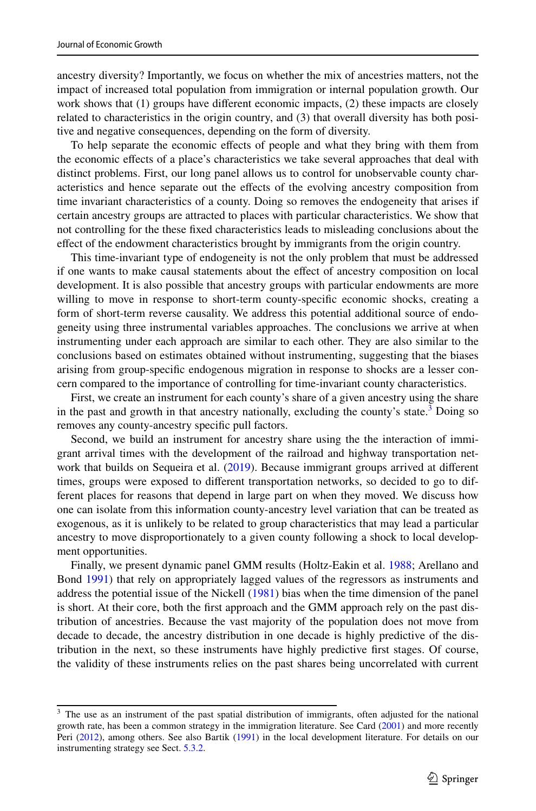ancestry diversity? Importantly, we focus on whether the mix of ancestries matters, not the impact of increased total population from immigration or internal population growth. Our work shows that (1) groups have different economic impacts, (2) these impacts are closely related to characteristics in the origin country, and (3) that overall diversity has both positive and negative consequences, depending on the form of diversity.

To help separate the economic effects of people and what they bring with them from the economic effects of a place's characteristics we take several approaches that deal with distinct problems. First, our long panel allows us to control for unobservable county characteristics and hence separate out the effects of the evolving ancestry composition from time invariant characteristics of a county. Doing so removes the endogeneity that arises if certain ancestry groups are attracted to places with particular characteristics. We show that not controlling for the these fixed characteristics leads to misleading conclusions about the effect of the endowment characteristics brought by immigrants from the origin country.

This time-invariant type of endogeneity is not the only problem that must be addressed if one wants to make causal statements about the effect of ancestry composition on local development. It is also possible that ancestry groups with particular endowments are more willing to move in response to short-term county-specific economic shocks, creating a form of short-term reverse causality. We address this potential additional source of endogeneity using three instrumental variables approaches. The conclusions we arrive at when instrumenting under each approach are similar to each other. They are also similar to the conclusions based on estimates obtained without instrumenting, suggesting that the biases arising from group-specific endogenous migration in response to shocks are a lesser concern compared to the importance of controlling for time-invariant county characteristics.

First, we create an instrument for each county's share of a given ancestry using the share in the past and growth in that ancestry nationally, excluding the county's state.<sup>[3](#page-2-0)</sup> Doing so removes any county-ancestry specific pull factors.

Second, we build an instrument for ancestry share using the the interaction of immigrant arrival times with the development of the railroad and highway transportation network that builds on Sequeira et al. ([2019\)](#page-39-0). Because immigrant groups arrived at different times, groups were exposed to different transportation networks, so decided to go to different places for reasons that depend in large part on when they moved. We discuss how one can isolate from this information county-ancestry level variation that can be treated as exogenous, as it is unlikely to be related to group characteristics that may lead a particular ancestry to move disproportionately to a given county following a shock to local development opportunities.

Finally, we present dynamic panel GMM results (Holtz-Eakin et al. [1988;](#page-38-5) Arellano and Bond [1991](#page-37-1)) that rely on appropriately lagged values of the regressors as instruments and address the potential issue of the Nickell ([1981\)](#page-39-1) bias when the time dimension of the panel is short. At their core, both the first approach and the GMM approach rely on the past distribution of ancestries. Because the vast majority of the population does not move from decade to decade, the ancestry distribution in one decade is highly predictive of the distribution in the next, so these instruments have highly predictive first stages. Of course, the validity of these instruments relies on the past shares being uncorrelated with current

<span id="page-2-0"></span><sup>3</sup> The use as an instrument of the past spatial distribution of immigrants, often adjusted for the national growth rate, has been a common strategy in the immigration literature. See Card [\(2001](#page-38-6)) and more recently Peri [\(2012](#page-39-2)), among others. See also Bartik ([1991\)](#page-38-7) in the local development literature. For details on our instrumenting strategy see Sect. [5.3.2.](#page-22-0)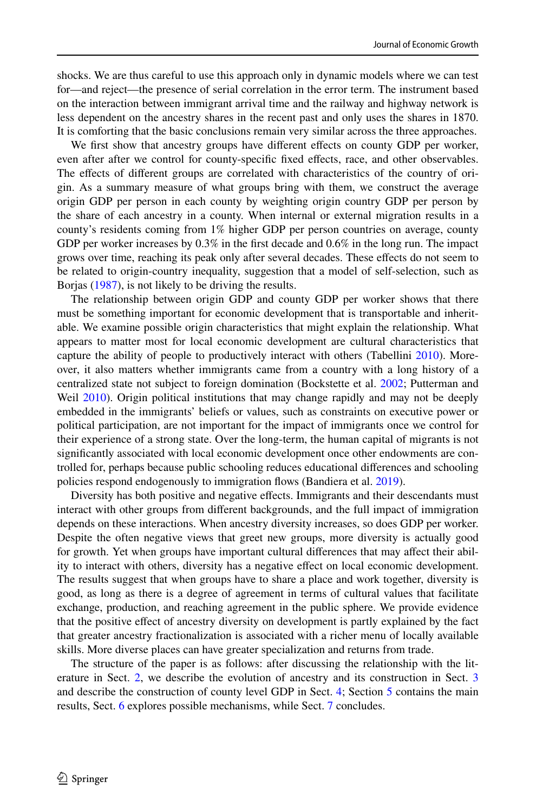shocks. We are thus careful to use this approach only in dynamic models where we can test for—and reject—the presence of serial correlation in the error term. The instrument based on the interaction between immigrant arrival time and the railway and highway network is less dependent on the ancestry shares in the recent past and only uses the shares in 1870. It is comforting that the basic conclusions remain very similar across the three approaches.

We first show that ancestry groups have different effects on county GDP per worker, even after after we control for county-specific fixed effects, race, and other observables. The effects of different groups are correlated with characteristics of the country of origin. As a summary measure of what groups bring with them, we construct the average origin GDP per person in each county by weighting origin country GDP per person by the share of each ancestry in a county. When internal or external migration results in a county's residents coming from 1% higher GDP per person countries on average, county GDP per worker increases by 0.3% in the first decade and 0.6% in the long run. The impact grows over time, reaching its peak only after several decades. These effects do not seem to be related to origin-country inequality, suggestion that a model of self-selection, such as Borjas [\(1987](#page-38-8)), is not likely to be driving the results.

The relationship between origin GDP and county GDP per worker shows that there must be something important for economic development that is transportable and inheritable. We examine possible origin characteristics that might explain the relationship. What appears to matter most for local economic development are cultural characteristics that capture the ability of people to productively interact with others (Tabellini [2010](#page-39-3)). Moreover, it also matters whether immigrants came from a country with a long history of a centralized state not subject to foreign domination (Bockstette et al. [2002;](#page-38-9) Putterman and Weil [2010](#page-39-4)). Origin political institutions that may change rapidly and may not be deeply embedded in the immigrants' beliefs or values, such as constraints on executive power or political participation, are not important for the impact of immigrants once we control for their experience of a strong state. Over the long-term, the human capital of migrants is not significantly associated with local economic development once other endowments are controlled for, perhaps because public schooling reduces educational differences and schooling policies respond endogenously to immigration flows (Bandiera et al. [2019](#page-38-10)).

Diversity has both positive and negative effects. Immigrants and their descendants must interact with other groups from different backgrounds, and the full impact of immigration depends on these interactions. When ancestry diversity increases, so does GDP per worker. Despite the often negative views that greet new groups, more diversity is actually good for growth. Yet when groups have important cultural differences that may affect their ability to interact with others, diversity has a negative effect on local economic development. The results suggest that when groups have to share a place and work together, diversity is good, as long as there is a degree of agreement in terms of cultural values that facilitate exchange, production, and reaching agreement in the public sphere. We provide evidence that the positive effect of ancestry diversity on development is partly explained by the fact that greater ancestry fractionalization is associated with a richer menu of locally available skills. More diverse places can have greater specialization and returns from trade.

The structure of the paper is as follows: after discussing the relationship with the lit-erature in Sect. [2](#page-4-0), we describe the evolution of ancestry and its construction in Sect. [3](#page-5-0) and describe the construction of county level GDP in Sect. [4](#page-11-0); Section [5](#page-12-0) contains the main results, Sect. [6](#page-33-0) explores possible mechanisms, while Sect. [7](#page-36-0) concludes.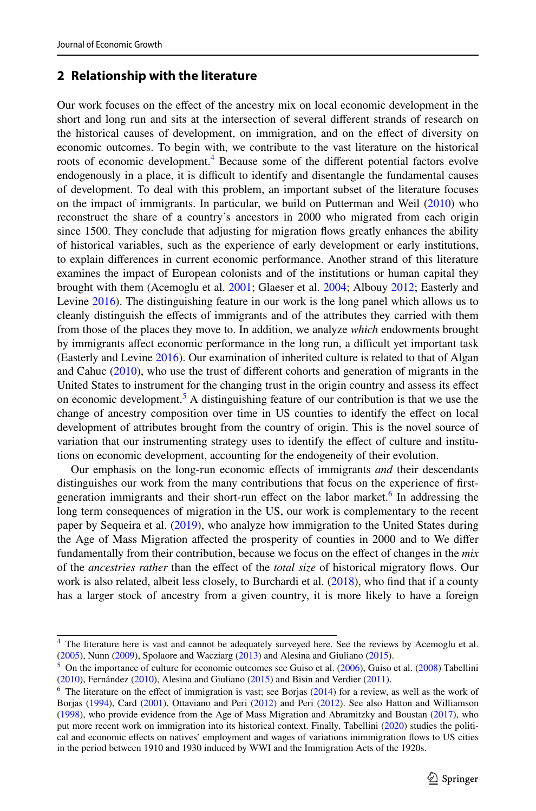### <span id="page-4-0"></span>**2 Relationship with the literature**

Our work focuses on the effect of the ancestry mix on local economic development in the short and long run and sits at the intersection of several different strands of research on the historical causes of development, on immigration, and on the effect of diversity on economic outcomes. To begin with, we contribute to the vast literature on the historical roots of economic development.<sup>[4](#page-4-1)</sup> Because some of the different potential factors evolve endogenously in a place, it is difficult to identify and disentangle the fundamental causes of development. To deal with this problem, an important subset of the literature focuses on the impact of immigrants. In particular, we build on Putterman and Weil ([2010\)](#page-39-4) who reconstruct the share of a country's ancestors in 2000 who migrated from each origin since 1500. They conclude that adjusting for migration flows greatly enhances the ability of historical variables, such as the experience of early development or early institutions, to explain differences in current economic performance. Another strand of this literature examines the impact of European colonists and of the institutions or human capital they brought with them (Acemoglu et al. [2001;](#page-37-2) Glaeser et al. [2004](#page-38-11); Albouy [2012;](#page-37-3) Easterly and Levine [2016\)](#page-38-12). The distinguishing feature in our work is the long panel which allows us to cleanly distinguish the effects of immigrants and of the attributes they carried with them from those of the places they move to. In addition, we analyze *which* endowments brought by immigrants affect economic performance in the long run, a difficult yet important task (Easterly and Levine [2016\)](#page-38-12). Our examination of inherited culture is related to that of Algan and Cahuc [\(2010](#page-37-4)), who use the trust of different cohorts and generation of migrants in the United States to instrument for the changing trust in the origin country and assess its effect on economic development.<sup>[5](#page-4-2)</sup> A distinguishing feature of our contribution is that we use the change of ancestry composition over time in US counties to identify the effect on local development of attributes brought from the country of origin. This is the novel source of variation that our instrumenting strategy uses to identify the effect of culture and institutions on economic development, accounting for the endogeneity of their evolution.

Our emphasis on the long-run economic effects of immigrants *and* their descendants distinguishes our work from the many contributions that focus on the experience of first-generation immigrants and their short-run effect on the labor market.<sup>[6](#page-4-3)</sup> In addressing the long term consequences of migration in the US, our work is complementary to the recent paper by Sequeira et al. ([2019\)](#page-39-0), who analyze how immigration to the United States during the Age of Mass Migration affected the prosperity of counties in 2000 and to We differ fundamentally from their contribution, because we focus on the effect of changes in the *mix* of the *ancestries rather* than the effect of the *total size* of historical migratory flows. Our work is also related, albeit less closely, to Burchardi et al. ([2018\)](#page-38-13), who find that if a county has a larger stock of ancestry from a given country, it is more likely to have a foreign

<span id="page-4-1"></span><sup>&</sup>lt;sup>4</sup> The literature here is vast and cannot be adequately surveyed here. See the reviews by Acemoglu et al. [\(2005](#page-37-5)), Nunn [\(2009](#page-39-5)), Spolaore and Wacziarg ([2013\)](#page-39-6) and Alesina and Giuliano ([2015\)](#page-37-6).

<span id="page-4-2"></span> $<sup>5</sup>$  On the importance of culture for economic outcomes see Guiso et al. [\(2006](#page-38-14)), Guiso et al. [\(2008](#page-38-15)) Tabellini</sup> [\(2010](#page-39-3)), Fernández [\(2010](#page-38-1)), Alesina and Giuliano ([2015\)](#page-37-6) and Bisin and Verdier ([2011\)](#page-38-2).

<span id="page-4-3"></span><sup>&</sup>lt;sup>6</sup> The literature on the effect of immigration is vast; see Borjas [\(2014](#page-38-16)) for a review, as well as the work of Borjas [\(1994](#page-38-17)), Card ([2001\)](#page-38-6), Ottaviano and Peri [\(2012](#page-39-7)) and Peri ([2012\)](#page-39-2). See also Hatton and Williamson [\(1998](#page-38-18)), who provide evidence from the Age of Mass Migration and Abramitzky and Boustan ([2017\)](#page-37-7), who put more recent work on immigration into its historical context. Finally, Tabellini [\(2020](#page-39-8)) studies the political and economic effects on natives' employment and wages of variations inimmigration flows to US cities in the period between 1910 and 1930 induced by WWI and the Immigration Acts of the 1920s.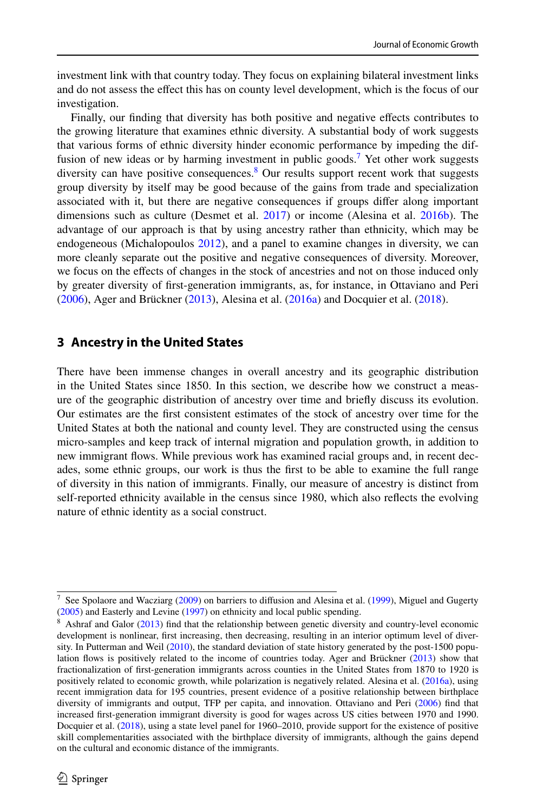investment link with that country today. They focus on explaining bilateral investment links and do not assess the effect this has on county level development, which is the focus of our investigation.

Finally, our finding that diversity has both positive and negative effects contributes to the growing literature that examines ethnic diversity. A substantial body of work suggests that various forms of ethnic diversity hinder economic performance by impeding the dif-fusion of new ideas or by harming investment in public goods.<sup>[7](#page-5-1)</sup> Yet other work suggests diversity can have positive consequences.<sup>[8](#page-5-2)</sup> Our results support recent work that suggests group diversity by itself may be good because of the gains from trade and specialization associated with it, but there are negative consequences if groups differ along important dimensions such as culture (Desmet et al. [2017\)](#page-38-19) or income (Alesina et al. [2016b\)](#page-37-8). The advantage of our approach is that by using ancestry rather than ethnicity, which may be endogeneous (Michalopoulos [2012](#page-38-20)), and a panel to examine changes in diversity, we can more cleanly separate out the positive and negative consequences of diversity. Moreover, we focus on the effects of changes in the stock of ancestries and not on those induced only by greater diversity of first-generation immigrants, as, for instance, in Ottaviano and Peri ([2006\)](#page-39-9), Ager and Brückner ([2013\)](#page-37-9), Alesina et al. ([2016a](#page-37-10)) and Docquier et al. [\(2018](#page-38-21)).

## <span id="page-5-0"></span>**3 Ancestry in the United States**

There have been immense changes in overall ancestry and its geographic distribution in the United States since 1850. In this section, we describe how we construct a measure of the geographic distribution of ancestry over time and briefly discuss its evolution. Our estimates are the first consistent estimates of the stock of ancestry over time for the United States at both the national and county level. They are constructed using the census micro-samples and keep track of internal migration and population growth, in addition to new immigrant flows. While previous work has examined racial groups and, in recent decades, some ethnic groups, our work is thus the first to be able to examine the full range of diversity in this nation of immigrants. Finally, our measure of ancestry is distinct from self-reported ethnicity available in the census since 1980, which also reflects the evolving nature of ethnic identity as a social construct.

<span id="page-5-1"></span><sup>&</sup>lt;sup>7</sup> See Spolaore and Wacziarg ([2009\)](#page-39-10) on barriers to diffusion and Alesina et al. [\(1999](#page-37-11)), Miguel and Gugerty [\(2005](#page-38-22)) and Easterly and Levine ([1997\)](#page-38-23) on ethnicity and local public spending.

<span id="page-5-2"></span><sup>&</sup>lt;sup>8</sup> Ashraf and Galor [\(2013](#page-37-12)) find that the relationship between genetic diversity and country-level economic development is nonlinear, first increasing, then decreasing, resulting in an interior optimum level of diver-sity. In Putterman and Weil [\(2010](#page-39-4)), the standard deviation of state history generated by the post-1500 population flows is positively related to the income of countries today. Ager and Brückner ([2013\)](#page-37-9) show that fractionalization of first-generation immigrants across counties in the United States from 1870 to 1920 is positively related to economic growth, while polarization is negatively related. Alesina et al. ([2016a](#page-37-10)), using recent immigration data for 195 countries, present evidence of a positive relationship between birthplace diversity of immigrants and output, TFP per capita, and innovation. Ottaviano and Peri [\(2006](#page-39-9)) find that increased first-generation immigrant diversity is good for wages across US cities between 1970 and 1990. Docquier et al. ([2018\)](#page-38-21), using a state level panel for 1960–2010, provide support for the existence of positive skill complementarities associated with the birthplace diversity of immigrants, although the gains depend on the cultural and economic distance of the immigrants.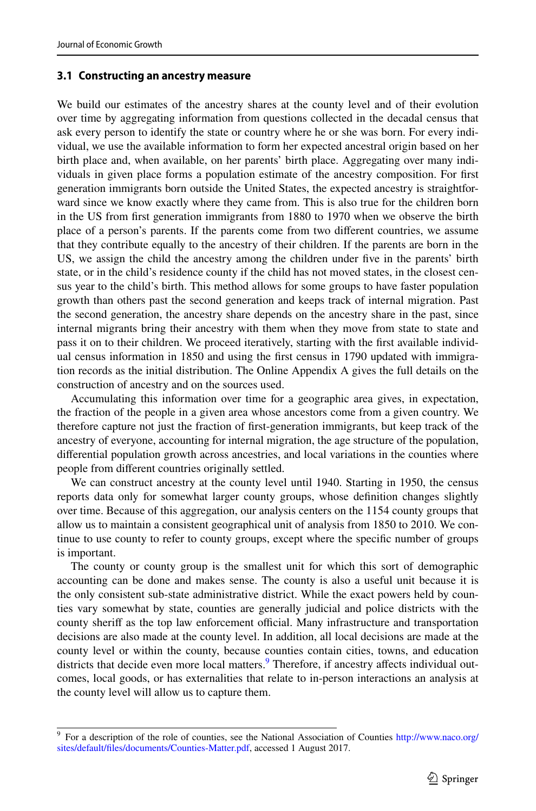#### **3.1 Constructing an ancestry measure**

We build our estimates of the ancestry shares at the county level and of their evolution over time by aggregating information from questions collected in the decadal census that ask every person to identify the state or country where he or she was born. For every individual, we use the available information to form her expected ancestral origin based on her birth place and, when available, on her parents' birth place. Aggregating over many individuals in given place forms a population estimate of the ancestry composition. For first generation immigrants born outside the United States, the expected ancestry is straightforward since we know exactly where they came from. This is also true for the children born in the US from first generation immigrants from 1880 to 1970 when we observe the birth place of a person's parents. If the parents come from two different countries, we assume that they contribute equally to the ancestry of their children. If the parents are born in the US, we assign the child the ancestry among the children under five in the parents' birth state, or in the child's residence county if the child has not moved states, in the closest census year to the child's birth. This method allows for some groups to have faster population growth than others past the second generation and keeps track of internal migration. Past the second generation, the ancestry share depends on the ancestry share in the past, since internal migrants bring their ancestry with them when they move from state to state and pass it on to their children. We proceed iteratively, starting with the first available individual census information in 1850 and using the first census in 1790 updated with immigration records as the initial distribution. The Online Appendix A gives the full details on the construction of ancestry and on the sources used.

Accumulating this information over time for a geographic area gives, in expectation, the fraction of the people in a given area whose ancestors come from a given country. We therefore capture not just the fraction of first-generation immigrants, but keep track of the ancestry of everyone, accounting for internal migration, the age structure of the population, differential population growth across ancestries, and local variations in the counties where people from different countries originally settled.

We can construct ancestry at the county level until 1940. Starting in 1950, the census reports data only for somewhat larger county groups, whose definition changes slightly over time. Because of this aggregation, our analysis centers on the 1154 county groups that allow us to maintain a consistent geographical unit of analysis from 1850 to 2010. We continue to use county to refer to county groups, except where the specific number of groups is important.

The county or county group is the smallest unit for which this sort of demographic accounting can be done and makes sense. The county is also a useful unit because it is the only consistent sub-state administrative district. While the exact powers held by counties vary somewhat by state, counties are generally judicial and police districts with the county sheriff as the top law enforcement official. Many infrastructure and transportation decisions are also made at the county level. In addition, all local decisions are made at the county level or within the county, because counties contain cities, towns, and education districts that decide even more local matters.<sup>[9](#page-6-0)</sup> Therefore, if ancestry affects individual outcomes, local goods, or has externalities that relate to in-person interactions an analysis at the county level will allow us to capture them.

<span id="page-6-0"></span><sup>&</sup>lt;sup>9</sup> For a description of the role of counties, see the National Association of Counties [http://www.naco.org/](http://www.naco.org/sites/default/files/documents/Counties-Matter.pdf) sites/default/files/documents/Counties-Matter.pdf, accessed 1 August 2017.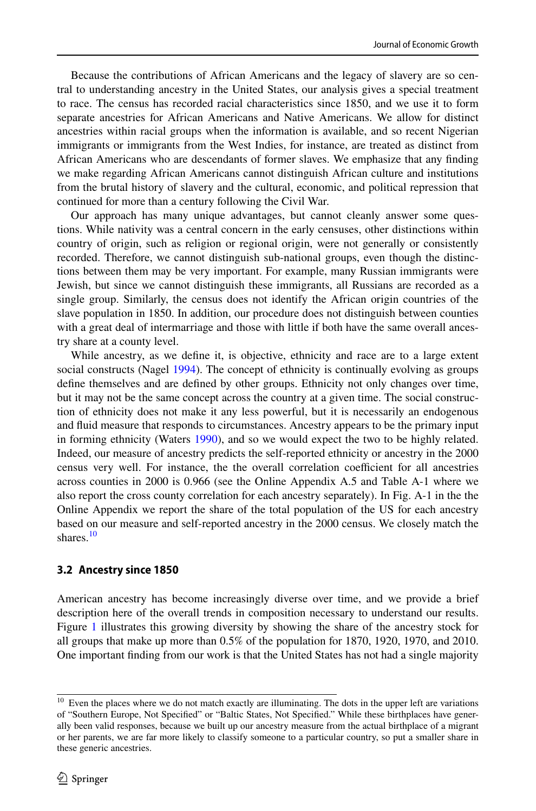Because the contributions of African Americans and the legacy of slavery are so central to understanding ancestry in the United States, our analysis gives a special treatment to race. The census has recorded racial characteristics since 1850, and we use it to form separate ancestries for African Americans and Native Americans. We allow for distinct ancestries within racial groups when the information is available, and so recent Nigerian immigrants or immigrants from the West Indies, for instance, are treated as distinct from African Americans who are descendants of former slaves. We emphasize that any finding we make regarding African Americans cannot distinguish African culture and institutions from the brutal history of slavery and the cultural, economic, and political repression that continued for more than a century following the Civil War.

Our approach has many unique advantages, but cannot cleanly answer some questions. While nativity was a central concern in the early censuses, other distinctions within country of origin, such as religion or regional origin, were not generally or consistently recorded. Therefore, we cannot distinguish sub-national groups, even though the distinctions between them may be very important. For example, many Russian immigrants were Jewish, but since we cannot distinguish these immigrants, all Russians are recorded as a single group. Similarly, the census does not identify the African origin countries of the slave population in 1850. In addition, our procedure does not distinguish between counties with a great deal of intermarriage and those with little if both have the same overall ancestry share at a county level.

While ancestry, as we define it, is objective, ethnicity and race are to a large extent social constructs (Nagel [1994\)](#page-39-11). The concept of ethnicity is continually evolving as groups define themselves and are defined by other groups. Ethnicity not only changes over time, but it may not be the same concept across the country at a given time. The social construction of ethnicity does not make it any less powerful, but it is necessarily an endogenous and fluid measure that responds to circumstances. Ancestry appears to be the primary input in forming ethnicity (Waters [1990](#page-39-12)), and so we would expect the two to be highly related. Indeed, our measure of ancestry predicts the self-reported ethnicity or ancestry in the 2000 census very well. For instance, the the overall correlation coefficient for all ancestries across counties in 2000 is 0.966 (see the Online Appendix A.5 and Table A-1 where we also report the cross county correlation for each ancestry separately). In Fig. A-1 in the the Online Appendix we report the share of the total population of the US for each ancestry based on our measure and self-reported ancestry in the 2000 census. We closely match the shares<sup>[10](#page-7-0)</sup>

#### **3.2 Ancestry since 1850**

American ancestry has become increasingly diverse over time, and we provide a brief description here of the overall trends in composition necessary to understand our results. Figure [1](#page-8-0) illustrates this growing diversity by showing the share of the ancestry stock for all groups that make up more than 0.5% of the population for 1870, 1920, 1970, and 2010. One important finding from our work is that the United States has not had a single majority

<span id="page-7-0"></span><sup>&</sup>lt;sup>10</sup> Even the places where we do not match exactly are illuminating. The dots in the upper left are variations of "Southern Europe, Not Specified" or "Baltic States, Not Specified." While these birthplaces have generally been valid responses, because we built up our ancestry measure from the actual birthplace of a migrant or her parents, we are far more likely to classify someone to a particular country, so put a smaller share in these generic ancestries.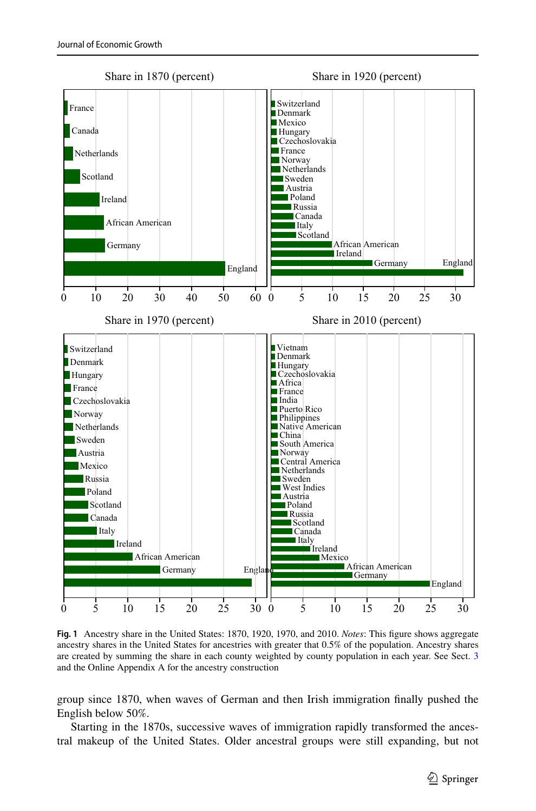

<span id="page-8-0"></span>**Fig. 1** Ancestry share in the United States: 1870, 1920, 1970, and 2010. *Notes*: This figure shows aggregate ancestry shares in the United States for ancestries with greater that 0.5% of the population. Ancestry shares are created by summing the share in each county weighted by county population in each year. See Sect. [3](#page-5-0) and the Online Appendix A for the ancestry construction

group since 1870, when waves of German and then Irish immigration finally pushed the English below 50%.

Starting in the 1870s, successive waves of immigration rapidly transformed the ancestral makeup of the United States. Older ancestral groups were still expanding, but not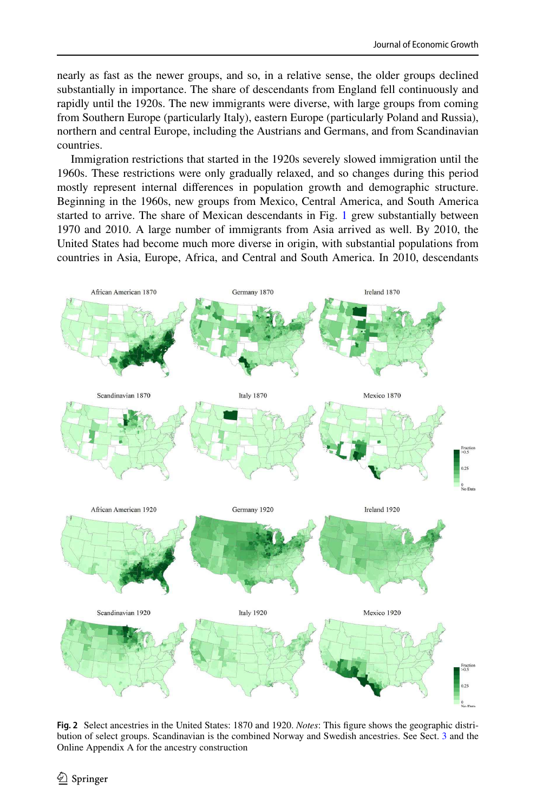nearly as fast as the newer groups, and so, in a relative sense, the older groups declined substantially in importance. The share of descendants from England fell continuously and rapidly until the 1920s. The new immigrants were diverse, with large groups from coming from Southern Europe (particularly Italy), eastern Europe (particularly Poland and Russia), northern and central Europe, including the Austrians and Germans, and from Scandinavian countries.

Immigration restrictions that started in the 1920s severely slowed immigration until the 1960s. These restrictions were only gradually relaxed, and so changes during this period mostly represent internal differences in population growth and demographic structure. Beginning in the 1960s, new groups from Mexico, Central America, and South America started to arrive. The share of Mexican descendants in Fig. [1](#page-8-0) grew substantially between 1970 and 2010. A large number of immigrants from Asia arrived as well. By 2010, the United States had become much more diverse in origin, with substantial populations from countries in Asia, Europe, Africa, and Central and South America. In 2010, descendants



<span id="page-9-0"></span>**Fig. 2** Select ancestries in the United States: 1870 and 1920. *Notes*: This figure shows the geographic distribution of select groups. Scandinavian is the combined Norway and Swedish ancestries. See Sect. [3](#page-5-0) and the Online Appendix A for the ancestry construction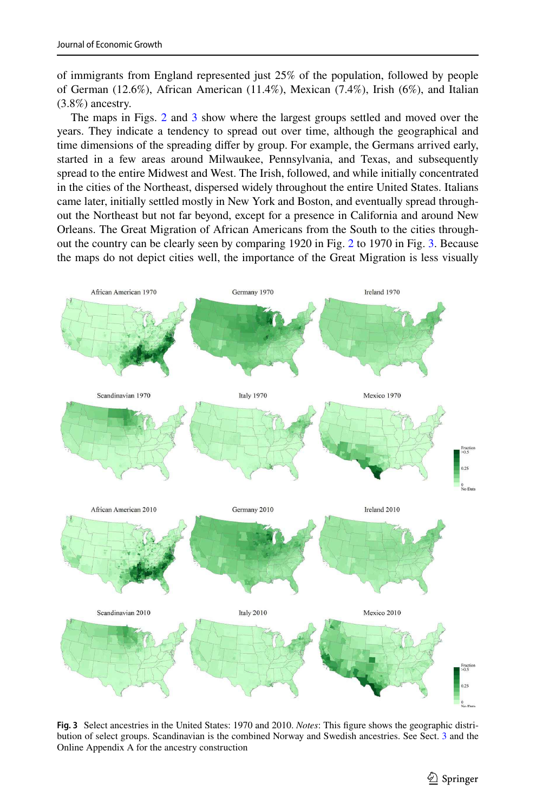of immigrants from England represented just 25% of the population, followed by people of German (12.6%), African American (11.4%), Mexican (7.4%), Irish (6%), and Italian (3.8%) ancestry.

The maps in Figs. [2](#page-9-0) and [3](#page-10-0) show where the largest groups settled and moved over the years. They indicate a tendency to spread out over time, although the geographical and time dimensions of the spreading differ by group. For example, the Germans arrived early, started in a few areas around Milwaukee, Pennsylvania, and Texas, and subsequently spread to the entire Midwest and West. The Irish, followed, and while initially concentrated in the cities of the Northeast, dispersed widely throughout the entire United States. Italians came later, initially settled mostly in New York and Boston, and eventually spread throughout the Northeast but not far beyond, except for a presence in California and around New Orleans. The Great Migration of African Americans from the South to the cities throughout the country can be clearly seen by comparing 1920 in Fig. [2](#page-9-0) to 1970 in Fig. [3](#page-10-0). Because the maps do not depict cities well, the importance of the Great Migration is less visually



<span id="page-10-0"></span>**Fig. 3** Select ancestries in the United States: 1970 and 2010. *Notes*: This figure shows the geographic distribution of select groups. Scandinavian is the combined Norway and Swedish ancestries. See Sect. [3](#page-5-0) and the Online Appendix A for the ancestry construction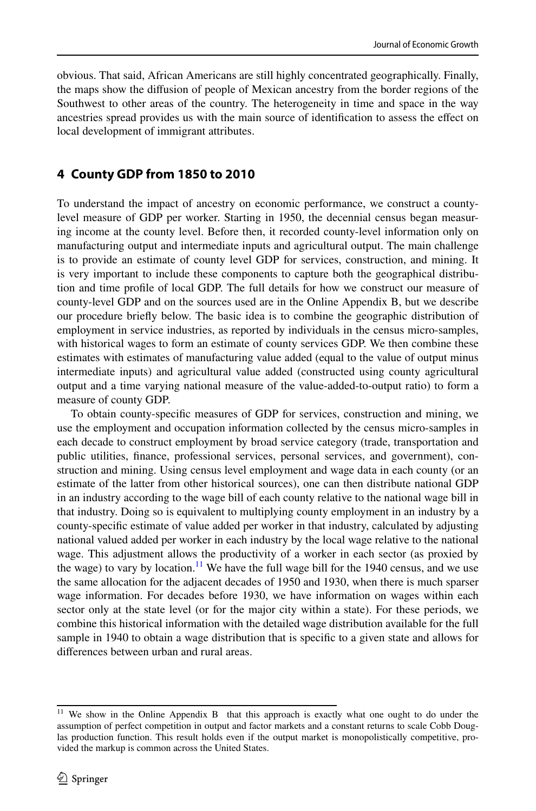obvious. That said, African Americans are still highly concentrated geographically. Finally, the maps show the diffusion of people of Mexican ancestry from the border regions of the Southwest to other areas of the country. The heterogeneity in time and space in the way ancestries spread provides us with the main source of identification to assess the effect on local development of immigrant attributes.

## <span id="page-11-0"></span>**4 County GDP from 1850 to 2010**

To understand the impact of ancestry on economic performance, we construct a countylevel measure of GDP per worker. Starting in 1950, the decennial census began measuring income at the county level. Before then, it recorded county-level information only on manufacturing output and intermediate inputs and agricultural output. The main challenge is to provide an estimate of county level GDP for services, construction, and mining. It is very important to include these components to capture both the geographical distribution and time profile of local GDP. The full details for how we construct our measure of county-level GDP and on the sources used are in the Online Appendix B, but we describe our procedure briefly below. The basic idea is to combine the geographic distribution of employment in service industries, as reported by individuals in the census micro-samples, with historical wages to form an estimate of county services GDP. We then combine these estimates with estimates of manufacturing value added (equal to the value of output minus intermediate inputs) and agricultural value added (constructed using county agricultural output and a time varying national measure of the value-added-to-output ratio) to form a measure of county GDP.

To obtain county-specific measures of GDP for services, construction and mining, we use the employment and occupation information collected by the census micro-samples in each decade to construct employment by broad service category (trade, transportation and public utilities, finance, professional services, personal services, and government), construction and mining. Using census level employment and wage data in each county (or an estimate of the latter from other historical sources), one can then distribute national GDP in an industry according to the wage bill of each county relative to the national wage bill in that industry. Doing so is equivalent to multiplying county employment in an industry by a county-specific estimate of value added per worker in that industry, calculated by adjusting national valued added per worker in each industry by the local wage relative to the national wage. This adjustment allows the productivity of a worker in each sector (as proxied by the wage) to vary by location.<sup>[11](#page-11-1)</sup> We have the full wage bill for the 1940 census, and we use the same allocation for the adjacent decades of 1950 and 1930, when there is much sparser wage information. For decades before 1930, we have information on wages within each sector only at the state level (or for the major city within a state). For these periods, we combine this historical information with the detailed wage distribution available for the full sample in 1940 to obtain a wage distribution that is specific to a given state and allows for differences between urban and rural areas.

<span id="page-11-1"></span><sup>&</sup>lt;sup>11</sup> We show in the Online Appendix B that this approach is exactly what one ought to do under the assumption of perfect competition in output and factor markets and a constant returns to scale Cobb Douglas production function. This result holds even if the output market is monopolistically competitive, provided the markup is common across the United States.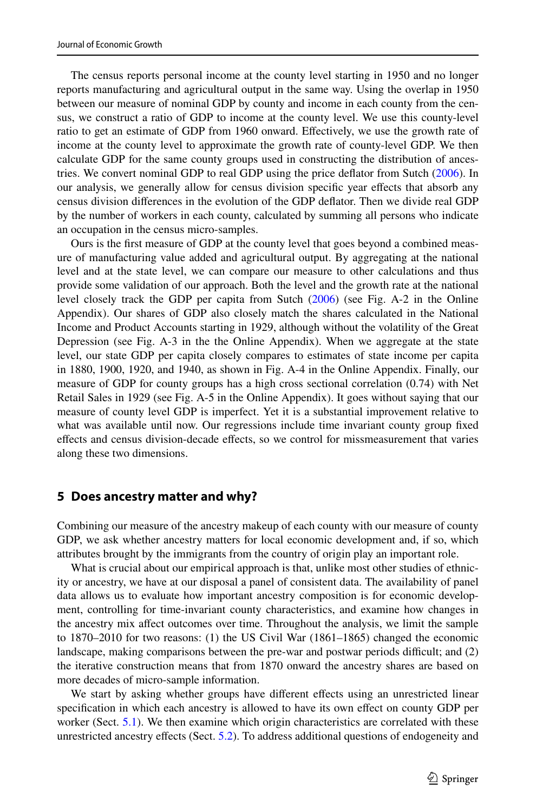The census reports personal income at the county level starting in 1950 and no longer reports manufacturing and agricultural output in the same way. Using the overlap in 1950 between our measure of nominal GDP by county and income in each county from the census, we construct a ratio of GDP to income at the county level. We use this county-level ratio to get an estimate of GDP from 1960 onward. Effectively, we use the growth rate of income at the county level to approximate the growth rate of county-level GDP. We then calculate GDP for the same county groups used in constructing the distribution of ancestries. We convert nominal GDP to real GDP using the price deflator from Sutch ([2006\)](#page-39-13). In our analysis, we generally allow for census division specific year effects that absorb any census division differences in the evolution of the GDP deflator. Then we divide real GDP by the number of workers in each county, calculated by summing all persons who indicate an occupation in the census micro-samples.

Ours is the first measure of GDP at the county level that goes beyond a combined measure of manufacturing value added and agricultural output. By aggregating at the national level and at the state level, we can compare our measure to other calculations and thus provide some validation of our approach. Both the level and the growth rate at the national level closely track the GDP per capita from Sutch ([2006\)](#page-39-13) (see Fig. A-2 in the Online Appendix). Our shares of GDP also closely match the shares calculated in the National Income and Product Accounts starting in 1929, although without the volatility of the Great Depression (see Fig. A-3 in the the Online Appendix). When we aggregate at the state level, our state GDP per capita closely compares to estimates of state income per capita in 1880, 1900, 1920, and 1940, as shown in Fig. A-4 in the Online Appendix. Finally, our measure of GDP for county groups has a high cross sectional correlation (0.74) with Net Retail Sales in 1929 (see Fig. A-5 in the Online Appendix). It goes without saying that our measure of county level GDP is imperfect. Yet it is a substantial improvement relative to what was available until now. Our regressions include time invariant county group fixed effects and census division-decade effects, so we control for missmeasurement that varies along these two dimensions.

#### <span id="page-12-0"></span>**5 Does ancestry matter and why?**

Combining our measure of the ancestry makeup of each county with our measure of county GDP, we ask whether ancestry matters for local economic development and, if so, which attributes brought by the immigrants from the country of origin play an important role.

What is crucial about our empirical approach is that, unlike most other studies of ethnicity or ancestry, we have at our disposal a panel of consistent data. The availability of panel data allows us to evaluate how important ancestry composition is for economic development, controlling for time-invariant county characteristics, and examine how changes in the ancestry mix affect outcomes over time. Throughout the analysis, we limit the sample to 1870–2010 for two reasons: (1) the US Civil War (1861–1865) changed the economic landscape, making comparisons between the pre-war and postwar periods difficult; and (2) the iterative construction means that from 1870 onward the ancestry shares are based on more decades of micro-sample information.

We start by asking whether groups have different effects using an unrestricted linear specification in which each ancestry is allowed to have its own effect on county GDP per worker (Sect. [5.1](#page-13-0)). We then examine which origin characteristics are correlated with these unrestricted ancestry effects (Sect. [5.2\)](#page-15-0). To address additional questions of endogeneity and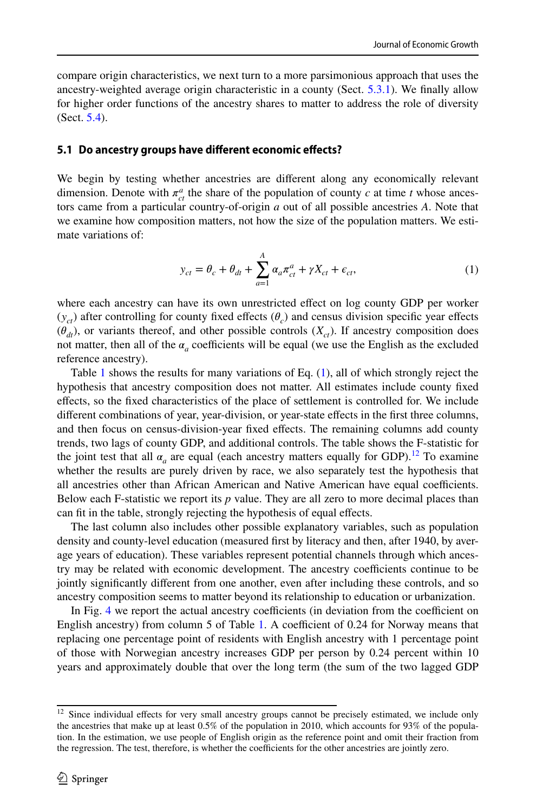compare origin characteristics, we next turn to a more parsimonious approach that uses the ancestry-weighted average origin characteristic in a county (Sect. [5.3.1\)](#page-18-0). We finally allow for higher order functions of the ancestry shares to matter to address the role of diversity (Sect. [5.4\)](#page-29-0).

#### <span id="page-13-0"></span>**5.1 Do ancestry groups have different economic effects?**

We begin by testing whether ancestries are different along any economically relevant dimension. Denote with  $\pi^a_{ct}$  the share of the population of county *c* at time *t* whose ancestors came from a particular country-of-origin *a* out of all possible ancestries *A*. Note that we examine how composition matters, not how the size of the population matters. We estimate variations of:

<span id="page-13-1"></span>
$$
y_{ct} = \theta_c + \theta_{dt} + \sum_{a=1}^{A} \alpha_a \pi_{ct}^a + \gamma X_{ct} + \epsilon_{ct},
$$
\n(1)

where each ancestry can have its own unrestricted effect on log county GDP per worker  $(y_{ct})$  after controlling for county fixed effects  $(\theta_c)$  and census division specific year effects  $(\theta_{dt})$ , or variants thereof, and other possible controls  $(X_{ct})$ . If ancestry composition does not matter, then all of the  $\alpha_a$  coefficients will be equal (we use the English as the excluded reference ancestry).

Table [1](#page-14-0) shows the results for many variations of Eq. ([1\)](#page-13-1), all of which strongly reject the hypothesis that ancestry composition does not matter. All estimates include county fixed effects, so the fixed characteristics of the place of settlement is controlled for. We include different combinations of year, year-division, or year-state effects in the first three columns, and then focus on census-division-year fixed effects. The remaining columns add county trends, two lags of county GDP, and additional controls. The table shows the F-statistic for the joint test that all  $\alpha_a$  are equal (each ancestry matters equally for GDP).<sup>[12](#page-13-2)</sup> To examine whether the results are purely driven by race, we also separately test the hypothesis that all ancestries other than African American and Native American have equal coefficients. Below each F-statistic we report its  $p$  value. They are all zero to more decimal places than can fit in the table, strongly rejecting the hypothesis of equal effects.

The last column also includes other possible explanatory variables, such as population density and county-level education (measured first by literacy and then, after 1940, by average years of education). These variables represent potential channels through which ancestry may be related with economic development. The ancestry coefficients continue to be jointly significantly different from one another, even after including these controls, and so ancestry composition seems to matter beyond its relationship to education or urbanization.

In Fig. [4](#page-14-1) we report the actual ancestry coefficients (in deviation from the coefficient on English ancestry) from column 5 of Table [1.](#page-14-0) A coefficient of 0.24 for Norway means that replacing one percentage point of residents with English ancestry with 1 percentage point of those with Norwegian ancestry increases GDP per person by 0.24 percent within 10 years and approximately double that over the long term (the sum of the two lagged GDP

<span id="page-13-2"></span><sup>&</sup>lt;sup>12</sup> Since individual effects for very small ancestry groups cannot be precisely estimated, we include only the ancestries that make up at least 0.5% of the population in 2010, which accounts for 93% of the population. In the estimation, we use people of English origin as the reference point and omit their fraction from the regression. The test, therefore, is whether the coefficients for the other ancestries are jointly zero.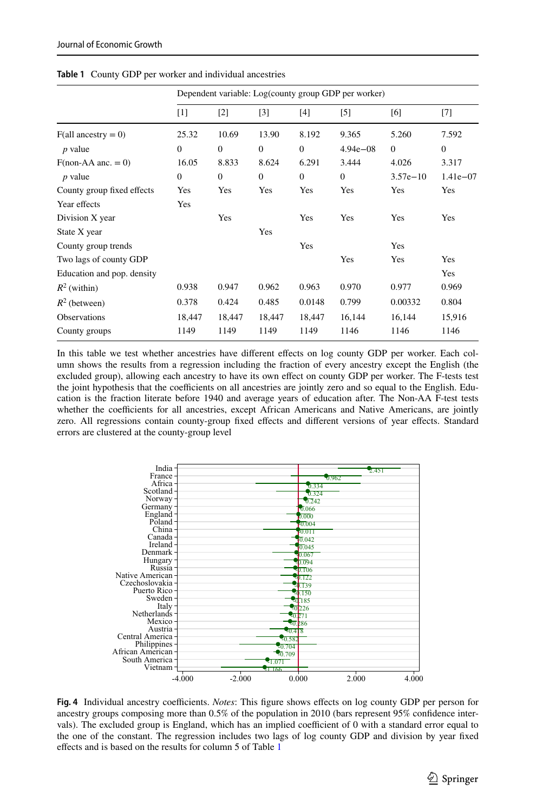|                              |              |                   |                   |          | Dependent variable: Log(county group GDP per worker) |              |              |
|------------------------------|--------------|-------------------|-------------------|----------|------------------------------------------------------|--------------|--------------|
|                              | [1]          | $\lceil 2 \rceil$ | $\lceil 3 \rceil$ | [4]      | $\lceil 5 \rceil$                                    | [6]          | [7]          |
| $F(\text{all ancestry} = 0)$ | 25.32        | 10.69             | 13.90             | 8.192    | 9.365                                                | 5.260        | 7.592        |
| $p$ value                    | $\mathbf{0}$ | $\Omega$          | $\mathbf{0}$      | $\Omega$ | $4.94e - 08$                                         | $\Omega$     | $\mathbf{0}$ |
| $F($ non-AA anc. = 0)        | 16.05        | 8.833             | 8.624             | 6.291    | 3.444                                                | 4.026        | 3.317        |
| $p$ value                    | $\mathbf{0}$ | $\mathbf{0}$      | $\mathbf{0}$      | $\Omega$ | $\mathbf{0}$                                         | $3.57e - 10$ | $1.41e - 07$ |
| County group fixed effects   | Yes          | Yes               | Yes               | Yes      | Yes                                                  | Yes          | Yes          |
| Year effects                 | Yes          |                   |                   |          |                                                      |              |              |
| Division X year              |              | Yes               |                   | Yes      | Yes                                                  | Yes          | Yes          |
| State X year                 |              |                   | Yes               |          |                                                      |              |              |
| County group trends          |              |                   |                   | Yes      |                                                      | Yes          |              |
| Two lags of county GDP       |              |                   |                   |          | Yes                                                  | Yes          | Yes          |
| Education and pop. density   |              |                   |                   |          |                                                      |              | Yes          |
| $R^2$ (within)               | 0.938        | 0.947             | 0.962             | 0.963    | 0.970                                                | 0.977        | 0.969        |
| $R^2$ (between)              | 0.378        | 0.424             | 0.485             | 0.0148   | 0.799                                                | 0.00332      | 0.804        |
| Observations                 | 18,447       | 18,447            | 18,447            | 18,447   | 16,144                                               | 16,144       | 15,916       |
| County groups                | 1149         | 1149              | 1149              | 1149     | 1146                                                 | 1146         | 1146         |

<span id="page-14-0"></span>**Table 1** County GDP per worker and individual ancestries

In this table we test whether ancestries have different effects on log county GDP per worker. Each column shows the results from a regression including the fraction of every ancestry except the English (the excluded group), allowing each ancestry to have its own effect on county GDP per worker. The F-tests test the joint hypothesis that the coefficients on all ancestries are jointly zero and so equal to the English. Education is the fraction literate before 1940 and average years of education after. The Non-AA F-test tests whether the coefficients for all ancestries, except African Americans and Native Americans, are jointly zero. All regressions contain county-group fixed effects and different versions of year effects. Standard errors are clustered at the county-group level



<span id="page-14-1"></span>**Fig. 4** Individual ancestry coefficients. *Notes*: This figure shows effects on log county GDP per person for ancestry groups composing more than 0.5% of the population in 2010 (bars represent 95% confidence intervals). The excluded group is England, which has an implied coefficient of 0 with a standard error equal to the one of the constant. The regression includes two lags of log county GDP and division by year fixed effects and is based on the results for column 5 of Table [1](#page-14-0)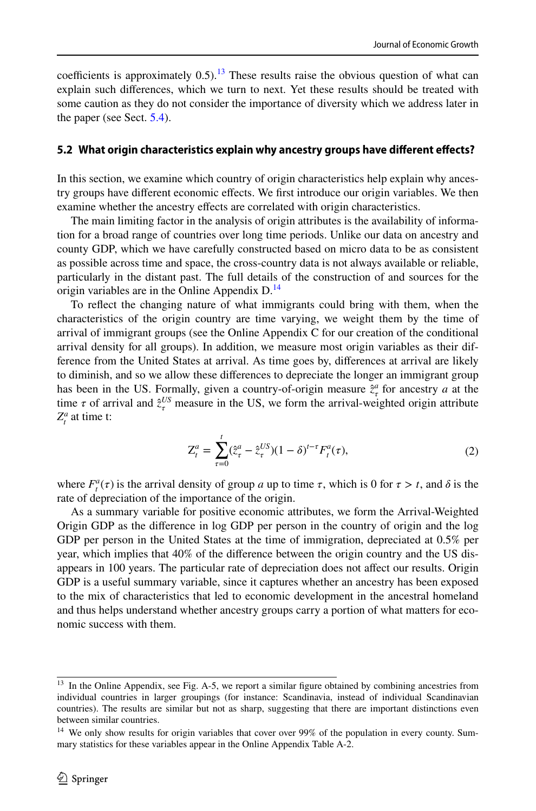coefficients is approximately  $0.5$ .<sup>[13](#page-15-1)</sup> These results raise the obvious question of what can explain such differences, which we turn to next. Yet these results should be treated with some caution as they do not consider the importance of diversity which we address later in the paper (see Sect. [5.4\)](#page-29-0).

#### <span id="page-15-0"></span>**5.2 What origin characteristics explain why ancestry groups have different effects?**

In this section, we examine which country of origin characteristics help explain why ancestry groups have different economic effects. We first introduce our origin variables. We then examine whether the ancestry effects are correlated with origin characteristics.

The main limiting factor in the analysis of origin attributes is the availability of information for a broad range of countries over long time periods. Unlike our data on ancestry and county GDP, which we have carefully constructed based on micro data to be as consistent as possible across time and space, the cross-country data is not always available or reliable, particularly in the distant past. The full details of the construction of and sources for the origin variables are in the Online Appendix  $D<sup>14</sup>$  $D<sup>14</sup>$  $D<sup>14</sup>$ .

To reflect the changing nature of what immigrants could bring with them, when the characteristics of the origin country are time varying, we weight them by the time of arrival of immigrant groups (see the Online Appendix C for our creation of the conditional arrival density for all groups). In addition, we measure most origin variables as their difference from the United States at arrival. As time goes by, differences at arrival are likely to diminish, and so we allow these differences to depreciate the longer an immigrant group has been in the US. Formally, given a country-of-origin measure  $\hat{z}^a_\tau$  for ancestry *a* at the time  $\tau$  of arrival and  $\hat{z}^{US}_{\tau}$  measure in the US, we form the arrival-weighted origin attribute  $Z_t^a$  at time t:

<span id="page-15-3"></span>
$$
Z_t^a = \sum_{\tau=0}^t (\hat{z}_\tau^a - \hat{z}_\tau^{US})(1 - \delta)^{t-\tau} F_t^a(\tau), \tag{2}
$$

where  $F_i^a(\tau)$  is the arrival density of group *a* up to time  $\tau$ , which is 0 for  $\tau > t$ , and  $\delta$  is the rate of depreciation of the importance of the origin.

As a summary variable for positive economic attributes, we form the Arrival-Weighted Origin GDP as the difference in log GDP per person in the country of origin and the log GDP per person in the United States at the time of immigration, depreciated at 0.5% per year, which implies that 40% of the difference between the origin country and the US disappears in 100 years. The particular rate of depreciation does not affect our results. Origin GDP is a useful summary variable, since it captures whether an ancestry has been exposed to the mix of characteristics that led to economic development in the ancestral homeland and thus helps understand whether ancestry groups carry a portion of what matters for economic success with them.

<span id="page-15-1"></span><sup>&</sup>lt;sup>13</sup> In the Online Appendix, see Fig. A-5, we report a similar figure obtained by combining ancestries from individual countries in larger groupings (for instance: Scandinavia, instead of individual Scandinavian countries). The results are similar but not as sharp, suggesting that there are important distinctions even between similar countries.

<span id="page-15-2"></span><sup>&</sup>lt;sup>14</sup> We only show results for origin variables that cover over 99% of the population in every county. Summary statistics for these variables appear in the Online Appendix Table A-2.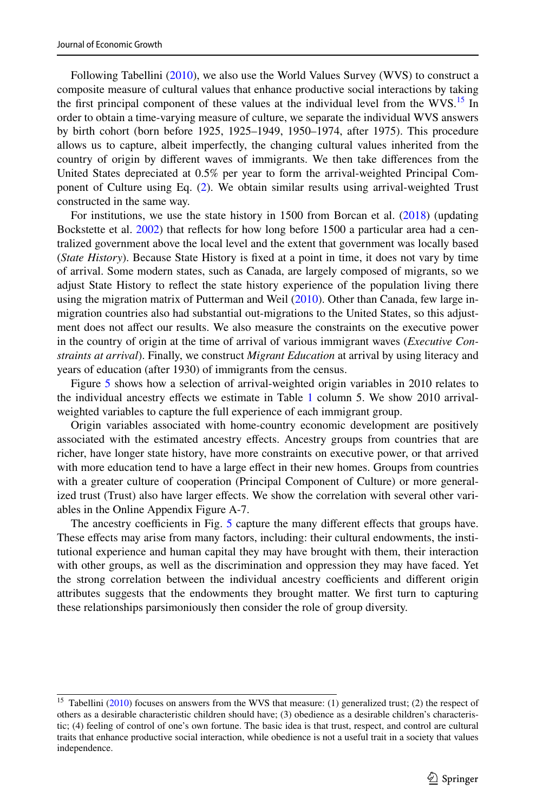Following Tabellini [\(2010](#page-39-3)), we also use the World Values Survey (WVS) to construct a composite measure of cultural values that enhance productive social interactions by taking the first principal component of these values at the individual level from the WVS.<sup>[15](#page-16-0)</sup> In order to obtain a time-varying measure of culture, we separate the individual WVS answers by birth cohort (born before 1925, 1925–1949, 1950–1974, after 1975). This procedure allows us to capture, albeit imperfectly, the changing cultural values inherited from the country of origin by different waves of immigrants. We then take differences from the United States depreciated at 0.5% per year to form the arrival-weighted Principal Component of Culture using Eq. ([2](#page-15-3)). We obtain similar results using arrival-weighted Trust constructed in the same way.

For institutions, we use the state history in 1500 from Borcan et al. ([2018\)](#page-38-24) (updating Bockstette et al. [2002\)](#page-38-9) that reflects for how long before 1500 a particular area had a centralized government above the local level and the extent that government was locally based (*State History*). Because State History is fixed at a point in time, it does not vary by time of arrival. Some modern states, such as Canada, are largely composed of migrants, so we adjust State History to reflect the state history experience of the population living there using the migration matrix of Putterman and Weil ([2010\)](#page-39-4). Other than Canada, few large inmigration countries also had substantial out-migrations to the United States, so this adjustment does not affect our results. We also measure the constraints on the executive power in the country of origin at the time of arrival of various immigrant waves (*Executive Constraints at arrival*). Finally, we construct *Migrant Education* at arrival by using literacy and years of education (after 1930) of immigrants from the census.

Figure [5](#page-17-0) shows how a selection of arrival-weighted origin variables in 2010 relates to the individual ancestry effects we estimate in Table [1](#page-14-0) column 5. We show 2010 arrivalweighted variables to capture the full experience of each immigrant group.

Origin variables associated with home-country economic development are positively associated with the estimated ancestry effects. Ancestry groups from countries that are richer, have longer state history, have more constraints on executive power, or that arrived with more education tend to have a large effect in their new homes. Groups from countries with a greater culture of cooperation (Principal Component of Culture) or more generalized trust (Trust) also have larger effects. We show the correlation with several other variables in the Online Appendix Figure A-7.

The ancestry coefficients in Fig. [5](#page-17-0) capture the many different effects that groups have. These effects may arise from many factors, including: their cultural endowments, the institutional experience and human capital they may have brought with them, their interaction with other groups, as well as the discrimination and oppression they may have faced. Yet the strong correlation between the individual ancestry coefficients and different origin attributes suggests that the endowments they brought matter. We first turn to capturing these relationships parsimoniously then consider the role of group diversity.

<span id="page-16-0"></span><sup>&</sup>lt;sup>15</sup> Tabellini ([2010\)](#page-39-3) focuses on answers from the WVS that measure: (1) generalized trust; (2) the respect of others as a desirable characteristic children should have; (3) obedience as a desirable children's characteristic; (4) feeling of control of one's own fortune. The basic idea is that trust, respect, and control are cultural traits that enhance productive social interaction, while obedience is not a useful trait in a society that values independence.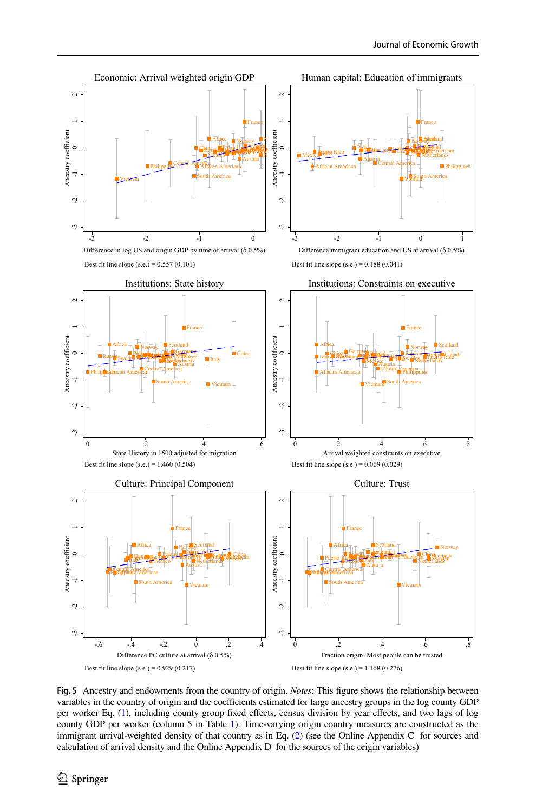

<span id="page-17-0"></span>**Fig. 5** Ancestry and endowments from the country of origin. *Notes*: This figure shows the relationship between variables in the country of origin and the coefficients estimated for large ancestry groups in the log county GDP per worker Eq. [\(1](#page-13-1)), including county group fixed effects, census division by year effects, and two lags of log county GDP per worker (column 5 in Table [1\)](#page-14-0). Time-varying origin country measures are constructed as the immigrant arrival-weighted density of that country as in Eq. [\(2\)](#page-15-3) (see the Online Appendix C for sources and calculation of arrival density and the Online Appendix D for the sources of the origin variables)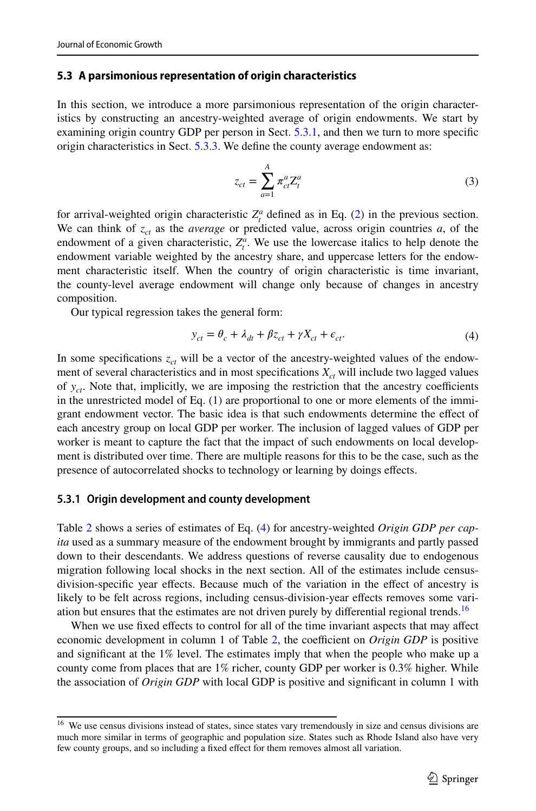#### **5.3 A parsimonious representation of origin characteristics**

In this section, we introduce a more parsimonious representation of the origin characteristics by constructing an ancestry-weighted average of origin endowments. We start by examining origin country GDP per person in Sect. [5.3.1](#page-18-0), and then we turn to more specific origin characteristics in Sect. [5.3.3.](#page-25-0) We define the county average endowment as:

<span id="page-18-3"></span>
$$
z_{ct} = \sum_{a=1}^{A} \pi_{ct}^{a} Z_{t}^{a} \tag{3}
$$

for arrival-weighted origin characteristic  $Z_t^a$  defined as in Eq. [\(2\)](#page-15-3) in the previous section. We can think of  $z_{ct}$  as the *average* or predicted value, across origin countries *a*, of the endowment of a given characteristic,  $Z_i^a$ . We use the lowercase italics to help denote the endowment variable weighted by the ancestry share, and uppercase letters for the endowment characteristic itself. When the country of origin characteristic is time invariant, the county-level average endowment will change only because of changes in ancestry composition.

Our typical regression takes the general form:

<span id="page-18-1"></span>
$$
y_{ct} = \theta_c + \lambda_{dt} + \beta z_{ct} + \gamma X_{ct} + \epsilon_{ct}.
$$
 (4)

In some specifications  $z_{ct}$  will be a vector of the ancestry-weighted values of the endowment of several characteristics and in most specifications  $X_{ct}$  will include two lagged values of  $y_{ct}$ . Note that, implicitly, we are imposing the restriction that the ancestry coefficients in the unrestricted model of Eq. [\(1](#page-13-1)) are proportional to one or more elements of the immigrant endowment vector. The basic idea is that such endowments determine the effect of each ancestry group on local GDP per worker. The inclusion of lagged values of GDP per worker is meant to capture the fact that the impact of such endowments on local development is distributed over time. There are multiple reasons for this to be the case, such as the presence of autocorrelated shocks to technology or learning by doings effects.

#### <span id="page-18-0"></span>**5.3.1 Origin development and county development**

Table [2](#page-19-0) shows a series of estimates of Eq. ([4](#page-18-1)) for ancestry-weighted *Origin GDP per capita* used as a summary measure of the endowment brought by immigrants and partly passed down to their descendants. We address questions of reverse causality due to endogenous migration following local shocks in the next section. All of the estimates include censusdivision-specific year effects. Because much of the variation in the effect of ancestry is likely to be felt across regions, including census-division-year effects removes some vari-ation but ensures that the estimates are not driven purely by differential regional trends.<sup>[16](#page-18-2)</sup>

When we use fixed effects to control for all of the time invariant aspects that may affect economic development in column 1 of Table [2,](#page-19-0) the coefficient on *Origin GDP* is positive and significant at the 1% level. The estimates imply that when the people who make up a county come from places that are  $1\%$  richer, county GDP per worker is 0.3% higher. While the association of *Origin GDP* with local GDP is positive and significant in column 1 with

<span id="page-18-2"></span><sup>&</sup>lt;sup>16</sup> We use census divisions instead of states, since states vary tremendously in size and census divisions are much more similar in terms of geographic and population size. States such as Rhode Island also have very few county groups, and so including a fixed effect for them removes almost all variation.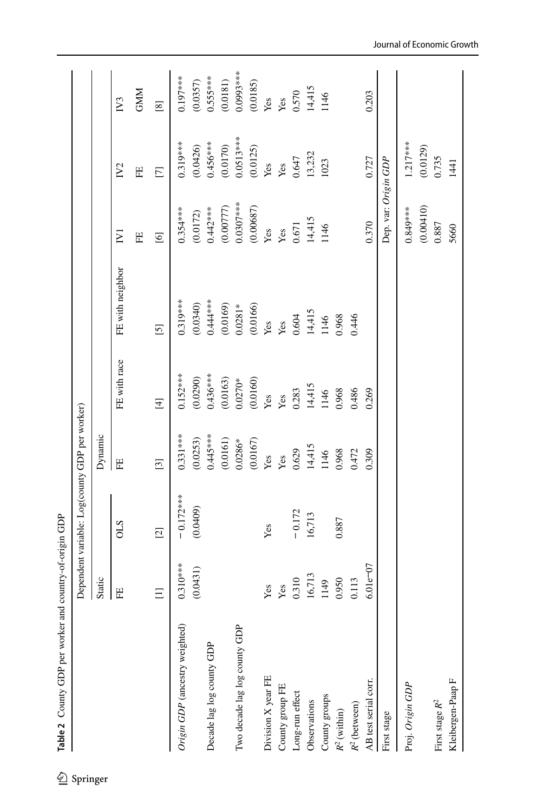<span id="page-19-0"></span>

| $(0.0181)$<br>0.0993***<br>(0.0357)<br>(0.0185)<br>14,415<br><b>GMM</b><br>0.570<br>0.203<br>1146<br>$\operatorname{Yes}$<br>${\rm Yes}$<br>IV <sub>3</sub><br>$\boxed{8}$<br>$(0.0170)$<br>0.0513***<br>$0.456***$<br>$1.217***$<br>$0.319***$<br>(0.0426)<br>(0.0129)<br>(0.0125)<br>13,232<br>0.735<br>0.647<br>0.727<br>Dep. var: Origin GDP<br>1023<br>$\mathbf{Yes}$<br>$\mathbf{Yes}$<br>N <sub>2</sub><br>田<br>$\Box$<br>$0.0307***$<br>(0.00410)<br>(0.00777)<br>(0.00687)<br>0.849****<br>$0.442***$<br>$0.354***$<br>(0.0172)<br>14,415<br>0.370<br>0.887<br>1146<br>$0.671\,$<br>$\mathbf{Yes}$<br>$\mathbf{Yes}$<br>Σ<br>田<br>$\overline{6}$<br>FE with neighbor<br>1.319***<br>$0.444**$<br>(0.0340)<br>$0.0281*$<br>(0.0169)<br>(0.0166)<br>14,415<br>0.604<br>0.968<br>0.446<br>1146<br>Yes<br>$\mathbf{Yes}$<br>$\overline{5}$<br>FE with race<br>$0.152***$<br>$0.436***$<br>(0.0290)<br>(0.0163)<br>$0.0270*$<br>(0.0160)<br>14,415<br>0.283<br>0.968<br>0.486<br>0.269<br>1146<br>Yes<br>$\mathbf{Yes}$<br>$[4]$<br>Dynamic<br>$0.331***$<br>$0.445***$<br>(0.0253)<br>(0.0161)<br>(0.0167)<br>$0.0286*$<br>14,415<br>0.629<br>0.968<br>1146<br>0.472<br>0.309<br>$\mathbf{Yes}$<br>Yes<br>田<br>$\boxed{3}$<br>$-0.172***$<br>(0.0409)<br>$-0.172$<br>16,713<br>0.887<br>STO<br>Yes<br>$[2]$<br>$0.310***$<br>$6.01e - 07$<br>(0.0431)<br>16,713<br>Static<br>0.950<br>0.310<br>0.113<br>1149<br>Yes<br>Yes<br>뚠<br>Ξ<br>Origin GDP (ancestry weighted)<br>Two decade lag log county GDP<br>Decade lag log county GDP<br>Division X year FE<br>AB test serial corr.<br>Proj. Origin GDP<br>County group FE<br>Long-run effect<br>County groups<br>Observations<br>First stage $R^2$<br>$R^2$ (between)<br>$R^2$ (within)<br>First stage |                   | Dependent variable: Log(county GDP per worker) |  |      |      |            |
|-------------------------------------------------------------------------------------------------------------------------------------------------------------------------------------------------------------------------------------------------------------------------------------------------------------------------------------------------------------------------------------------------------------------------------------------------------------------------------------------------------------------------------------------------------------------------------------------------------------------------------------------------------------------------------------------------------------------------------------------------------------------------------------------------------------------------------------------------------------------------------------------------------------------------------------------------------------------------------------------------------------------------------------------------------------------------------------------------------------------------------------------------------------------------------------------------------------------------------------------------------------------------------------------------------------------------------------------------------------------------------------------------------------------------------------------------------------------------------------------------------------------------------------------------------------------------------------------------------------------------------------------------------------------------------------------------------------------------------------------------------------|-------------------|------------------------------------------------|--|------|------|------------|
|                                                                                                                                                                                                                                                                                                                                                                                                                                                                                                                                                                                                                                                                                                                                                                                                                                                                                                                                                                                                                                                                                                                                                                                                                                                                                                                                                                                                                                                                                                                                                                                                                                                                                                                                                             |                   |                                                |  |      |      |            |
|                                                                                                                                                                                                                                                                                                                                                                                                                                                                                                                                                                                                                                                                                                                                                                                                                                                                                                                                                                                                                                                                                                                                                                                                                                                                                                                                                                                                                                                                                                                                                                                                                                                                                                                                                             |                   |                                                |  |      |      |            |
|                                                                                                                                                                                                                                                                                                                                                                                                                                                                                                                                                                                                                                                                                                                                                                                                                                                                                                                                                                                                                                                                                                                                                                                                                                                                                                                                                                                                                                                                                                                                                                                                                                                                                                                                                             |                   |                                                |  |      |      |            |
|                                                                                                                                                                                                                                                                                                                                                                                                                                                                                                                                                                                                                                                                                                                                                                                                                                                                                                                                                                                                                                                                                                                                                                                                                                                                                                                                                                                                                                                                                                                                                                                                                                                                                                                                                             |                   |                                                |  |      |      |            |
|                                                                                                                                                                                                                                                                                                                                                                                                                                                                                                                                                                                                                                                                                                                                                                                                                                                                                                                                                                                                                                                                                                                                                                                                                                                                                                                                                                                                                                                                                                                                                                                                                                                                                                                                                             |                   |                                                |  |      |      | $0.197***$ |
|                                                                                                                                                                                                                                                                                                                                                                                                                                                                                                                                                                                                                                                                                                                                                                                                                                                                                                                                                                                                                                                                                                                                                                                                                                                                                                                                                                                                                                                                                                                                                                                                                                                                                                                                                             |                   |                                                |  |      |      |            |
|                                                                                                                                                                                                                                                                                                                                                                                                                                                                                                                                                                                                                                                                                                                                                                                                                                                                                                                                                                                                                                                                                                                                                                                                                                                                                                                                                                                                                                                                                                                                                                                                                                                                                                                                                             |                   |                                                |  |      |      | $0.55***$  |
|                                                                                                                                                                                                                                                                                                                                                                                                                                                                                                                                                                                                                                                                                                                                                                                                                                                                                                                                                                                                                                                                                                                                                                                                                                                                                                                                                                                                                                                                                                                                                                                                                                                                                                                                                             |                   |                                                |  |      |      |            |
|                                                                                                                                                                                                                                                                                                                                                                                                                                                                                                                                                                                                                                                                                                                                                                                                                                                                                                                                                                                                                                                                                                                                                                                                                                                                                                                                                                                                                                                                                                                                                                                                                                                                                                                                                             |                   |                                                |  |      |      |            |
|                                                                                                                                                                                                                                                                                                                                                                                                                                                                                                                                                                                                                                                                                                                                                                                                                                                                                                                                                                                                                                                                                                                                                                                                                                                                                                                                                                                                                                                                                                                                                                                                                                                                                                                                                             |                   |                                                |  |      |      |            |
|                                                                                                                                                                                                                                                                                                                                                                                                                                                                                                                                                                                                                                                                                                                                                                                                                                                                                                                                                                                                                                                                                                                                                                                                                                                                                                                                                                                                                                                                                                                                                                                                                                                                                                                                                             |                   |                                                |  |      |      |            |
|                                                                                                                                                                                                                                                                                                                                                                                                                                                                                                                                                                                                                                                                                                                                                                                                                                                                                                                                                                                                                                                                                                                                                                                                                                                                                                                                                                                                                                                                                                                                                                                                                                                                                                                                                             |                   |                                                |  |      |      |            |
|                                                                                                                                                                                                                                                                                                                                                                                                                                                                                                                                                                                                                                                                                                                                                                                                                                                                                                                                                                                                                                                                                                                                                                                                                                                                                                                                                                                                                                                                                                                                                                                                                                                                                                                                                             |                   |                                                |  |      |      |            |
|                                                                                                                                                                                                                                                                                                                                                                                                                                                                                                                                                                                                                                                                                                                                                                                                                                                                                                                                                                                                                                                                                                                                                                                                                                                                                                                                                                                                                                                                                                                                                                                                                                                                                                                                                             |                   |                                                |  |      |      |            |
|                                                                                                                                                                                                                                                                                                                                                                                                                                                                                                                                                                                                                                                                                                                                                                                                                                                                                                                                                                                                                                                                                                                                                                                                                                                                                                                                                                                                                                                                                                                                                                                                                                                                                                                                                             |                   |                                                |  |      |      |            |
|                                                                                                                                                                                                                                                                                                                                                                                                                                                                                                                                                                                                                                                                                                                                                                                                                                                                                                                                                                                                                                                                                                                                                                                                                                                                                                                                                                                                                                                                                                                                                                                                                                                                                                                                                             |                   |                                                |  |      |      |            |
|                                                                                                                                                                                                                                                                                                                                                                                                                                                                                                                                                                                                                                                                                                                                                                                                                                                                                                                                                                                                                                                                                                                                                                                                                                                                                                                                                                                                                                                                                                                                                                                                                                                                                                                                                             |                   |                                                |  |      |      |            |
|                                                                                                                                                                                                                                                                                                                                                                                                                                                                                                                                                                                                                                                                                                                                                                                                                                                                                                                                                                                                                                                                                                                                                                                                                                                                                                                                                                                                                                                                                                                                                                                                                                                                                                                                                             |                   |                                                |  |      |      |            |
|                                                                                                                                                                                                                                                                                                                                                                                                                                                                                                                                                                                                                                                                                                                                                                                                                                                                                                                                                                                                                                                                                                                                                                                                                                                                                                                                                                                                                                                                                                                                                                                                                                                                                                                                                             |                   |                                                |  |      |      |            |
|                                                                                                                                                                                                                                                                                                                                                                                                                                                                                                                                                                                                                                                                                                                                                                                                                                                                                                                                                                                                                                                                                                                                                                                                                                                                                                                                                                                                                                                                                                                                                                                                                                                                                                                                                             |                   |                                                |  |      |      |            |
|                                                                                                                                                                                                                                                                                                                                                                                                                                                                                                                                                                                                                                                                                                                                                                                                                                                                                                                                                                                                                                                                                                                                                                                                                                                                                                                                                                                                                                                                                                                                                                                                                                                                                                                                                             |                   |                                                |  |      |      |            |
|                                                                                                                                                                                                                                                                                                                                                                                                                                                                                                                                                                                                                                                                                                                                                                                                                                                                                                                                                                                                                                                                                                                                                                                                                                                                                                                                                                                                                                                                                                                                                                                                                                                                                                                                                             | Kleibergen-Paap F |                                                |  | 5660 | 1441 |            |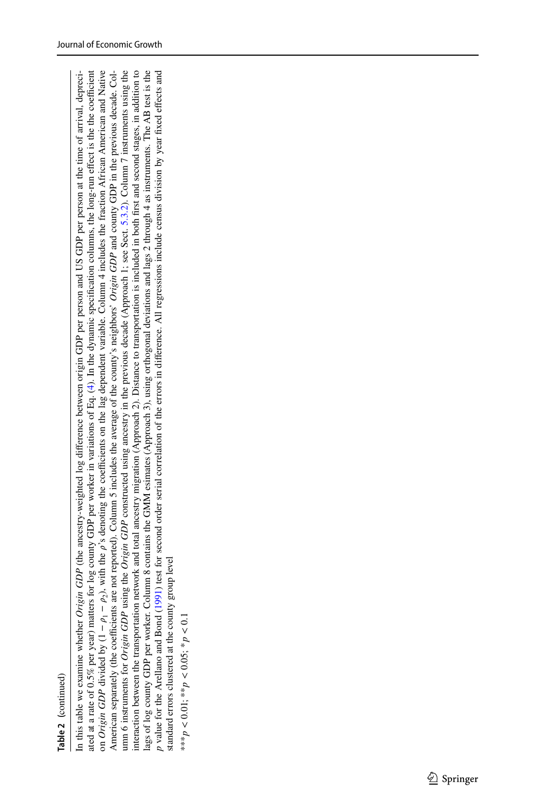In this table we examine whether Origin GDP (the ancestry-weighted log difference between origin GDP per person and US GDP per person at the time of arrival, depreci-<br>ated at a rate of 0.5% per year) matters for log county on *Origin GDP* divided by (1 −  $\rho_1$ ) –  $\rho_2$ ), with the  $\rho$ 's denoting the coefficients on the lag dependent variable. Column 4 includes the fraction African American and Native American separately (the coefficients are not reported). Column 5 includes the average of the county's neighbors' *Origin GDP* and county GDP in the previous decade. Col-<br>umn 6 instruments for *Origin GDP* using the *Origi* interaction between the transportation network and total ancestry migration (Approach 2). Distance to transportation is included in both first and second stages, in addition to lags of log county GDP per worker. Column 8 contains the GMM esimates (Approach 3), using orthogonal deviations and lags 2 through 4 as instruments. The AB test is the *p* value for the Arellano and Bond [\(1991](#page-37-1)) test for second order serial correlation of the errors in difference. All regressions include census division by year fixed effects and ated at a rate of 0.5% per year) matters for log county GDP per worker in variations of Eq. (4). In the dynamic specification columns, the long-run effect is the the coefficient on Origin GDP divided by  $(1 - \rho_1 - \rho_2)$ , with the  $\rho$ 's denoting the coefficients on the lag dependent variable. Column 4 includes the fraction African American and Native umn 6 instruments for  $Ori\alpha$  GDP using the  $Ori\alpha$  GDP constructed using ancestry in the previous decade (Approach 1; see Sect. 5.3.2). Column 7 instruments using the interaction between the transportation network and total ancestry migration (Approach 2). Distance to transportation is included in both first and second stages, in addition to lags of log county GDP per worker. Column 8 contains the GMM esimates (Approach 3), using orthogonal deviations and lags 2 through 4 as instruments. The AB test is the p value for the Arellano and Bond (1991) test for second order serial correlation of the errors in difference. All regressions include census division by year fixed effects and In this table we examine whether Origin GDP (the ancestry-weighted log difference between origin GDP per person and US GDP per person at the time of arrival, depreci-American separately (the coefficients are not reported). Column 5 includes the average of the county's neighbors'  $O$ rigin GDP and county GDP in the previous decade. Colstandard errors clustered at the county group level standard errors clustered at the county group level

\*\*\* $p < 0.01$ ; \*\* $p < 0.05$ ; \* $p < 0.1$ \*\*\**p <* 0.01 ; \*\**p <* 0.05 ; \* *p <* 0.1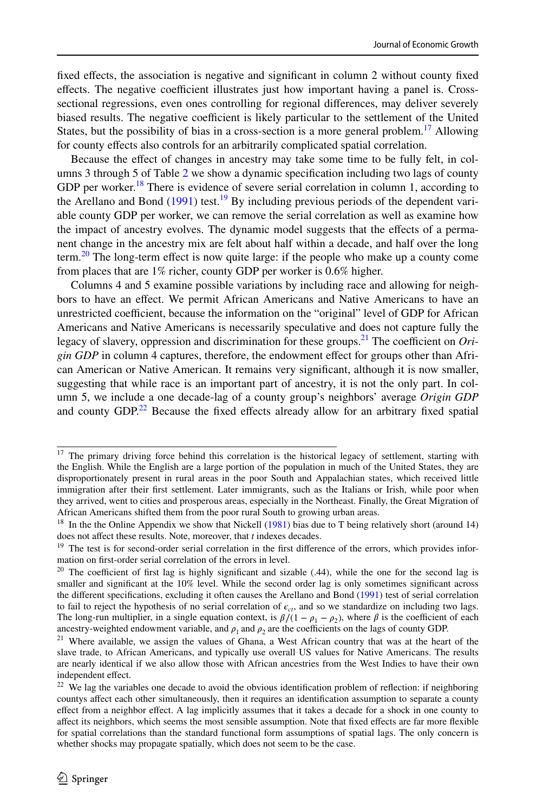fixed effects, the association is negative and significant in column 2 without county fixed effects. The negative coefficient illustrates just how important having a panel is. Crosssectional regressions, even ones controlling for regional differences, may deliver severely biased results. The negative coefficient is likely particular to the settlement of the United States, but the possibility of bias in a cross-section is a more general problem.<sup>[17](#page-21-0)</sup> Allowing for county effects also controls for an arbitrarily complicated spatial correlation.

Because the effect of changes in ancestry may take some time to be fully felt, in col-umns 3 through 5 of Table [2](#page-19-0) we show a dynamic specification including two lags of county GDP per worker.<sup>[18](#page-21-1)</sup> There is evidence of severe serial correlation in column 1, according to the Arellano and Bond  $(1991)$  $(1991)$  test.<sup>[19](#page-21-2)</sup> By including previous periods of the dependent variable county GDP per worker, we can remove the serial correlation as well as examine how the impact of ancestry evolves. The dynamic model suggests that the effects of a permanent change in the ancestry mix are felt about half within a decade, and half over the long term.<sup>[20](#page-21-3)</sup> The long-term effect is now quite large: if the people who make up a county come from places that are 1% richer, county GDP per worker is 0.6% higher.

Columns 4 and 5 examine possible variations by including race and allowing for neighbors to have an effect. We permit African Americans and Native Americans to have an unrestricted coefficient, because the information on the "original" level of GDP for African Americans and Native Americans is necessarily speculative and does not capture fully the legacy of slavery, oppression and discrimination for these groups.<sup>[21](#page-21-4)</sup> The coefficient on *Origin GDP* in column 4 captures, therefore, the endowment effect for groups other than African American or Native American. It remains very significant, although it is now smaller, suggesting that while race is an important part of ancestry, it is not the only part. In column 5, we include a one decade-lag of a county group's neighbors' average *Origin GDP*  and county GDP. $^{22}$  $^{22}$  $^{22}$  Because the fixed effects already allow for an arbitrary fixed spatial

<span id="page-21-0"></span><sup>&</sup>lt;sup>17</sup> The primary driving force behind this correlation is the historical legacy of settlement, starting with the English. While the English are a large portion of the population in much of the United States, they are disproportionately present in rural areas in the poor South and Appalachian states, which received little immigration after their first settlement. Later immigrants, such as the Italians or Irish, while poor when they arrived, went to cities and prosperous areas, especially in the Northeast. Finally, the Great Migration of African Americans shifted them from the poor rural South to growing urban areas.

<span id="page-21-1"></span><sup>&</sup>lt;sup>18</sup> In the the Online Appendix we show that Nickell ([1981\)](#page-39-1) bias due to T being relatively short (around 14) does not affect these results. Note, moreover, that *t* indexes decades.

<span id="page-21-2"></span><sup>&</sup>lt;sup>19</sup> The test is for second-order serial correlation in the first difference of the errors, which provides information on first-order serial correlation of the errors in level.

<span id="page-21-3"></span><sup>&</sup>lt;sup>20</sup> The coefficient of first lag is highly significant and sizable (.44), while the one for the second lag is smaller and significant at the 10% level. While the second order lag is only sometimes significant across the different specifications, excluding it often causes the Arellano and Bond [\(1991](#page-37-1)) test of serial correlation to fail to reject the hypothesis of no serial correlation of  $\epsilon_{ct}$ , and so we standardize on including two lags. The long-run multiplier, in a single equation context, is  $\beta/(1 - \rho_1 - \rho_2)$ , where  $\beta$  is the coefficient of each ancestry-weighted endowment variable, and  $\rho_1$  and  $\rho_2$  are the coefficients on the lags of county GDP.

<span id="page-21-4"></span><sup>&</sup>lt;sup>21</sup> Where available, we assign the values of Ghana, a West African country that was at the heart of the slave trade, to African Americans, and typically use overall US values for Native Americans. The results are nearly identical if we also allow those with African ancestries from the West Indies to have their own independent effect.

<span id="page-21-5"></span> $22$  We lag the variables one decade to avoid the obvious identification problem of reflection: if neighboring countys affect each other simultaneously, then it requires an identification assumption to separate a county effect from a neighbor effect. A lag implicitly assumes that it takes a decade for a shock in one county to affect its neighbors, which seems the most sensible assumption. Note that fixed effects are far more flexible for spatial correlations than the standard functional form assumptions of spatial lags. The only concern is whether shocks may propagate spatially, which does not seem to be the case.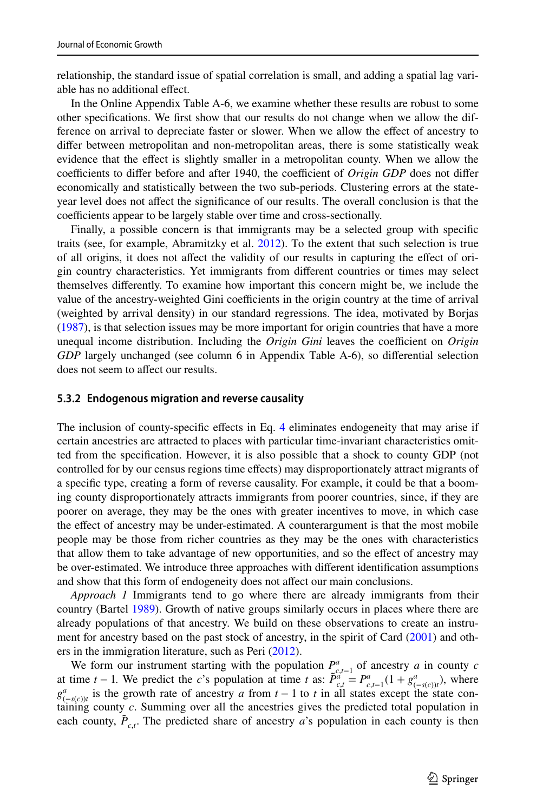relationship, the standard issue of spatial correlation is small, and adding a spatial lag variable has no additional effect.

In the Online Appendix Table A-6, we examine whether these results are robust to some other specifications. We first show that our results do not change when we allow the difference on arrival to depreciate faster or slower. When we allow the effect of ancestry to differ between metropolitan and non-metropolitan areas, there is some statistically weak evidence that the effect is slightly smaller in a metropolitan county. When we allow the coefficients to differ before and after 1940, the coefficient of *Origin GDP* does not differ economically and statistically between the two sub-periods. Clustering errors at the stateyear level does not affect the significance of our results. The overall conclusion is that the coefficients appear to be largely stable over time and cross-sectionally.

Finally, a possible concern is that immigrants may be a selected group with specific traits (see, for example, Abramitzky et al. [2012](#page-37-13)). To the extent that such selection is true of all origins, it does not affect the validity of our results in capturing the effect of origin country characteristics. Yet immigrants from different countries or times may select themselves differently. To examine how important this concern might be, we include the value of the ancestry-weighted Gini coefficients in the origin country at the time of arrival (weighted by arrival density) in our standard regressions. The idea, motivated by Borjas ([1987\)](#page-38-8), is that selection issues may be more important for origin countries that have a more unequal income distribution. Including the *Origin Gini* leaves the coefficient on *Origin GDP* largely unchanged (see column 6 in Appendix Table A-6), so differential selection does not seem to affect our results.

#### <span id="page-22-0"></span>**5.3.2 Endogenous migration and reverse causality**

The inclusion of county-specific effects in Eq. [4](#page-18-1) eliminates endogeneity that may arise if certain ancestries are attracted to places with particular time-invariant characteristics omitted from the specification. However, it is also possible that a shock to county GDP (not controlled for by our census regions time effects) may disproportionately attract migrants of a specific type, creating a form of reverse causality. For example, it could be that a booming county disproportionately attracts immigrants from poorer countries, since, if they are poorer on average, they may be the ones with greater incentives to move, in which case the effect of ancestry may be under-estimated. A counterargument is that the most mobile people may be those from richer countries as they may be the ones with characteristics that allow them to take advantage of new opportunities, and so the effect of ancestry may be over-estimated. We introduce three approaches with different identification assumptions and show that this form of endogeneity does not affect our main conclusions.

*Approach 1* Immigrants tend to go where there are already immigrants from their country (Bartel [1989](#page-38-25)). Growth of native groups similarly occurs in places where there are already populations of that ancestry. We build on these observations to create an instrument for ancestry based on the past stock of ancestry, in the spirit of Card [\(2001](#page-38-6)) and others in the immigration literature, such as Peri [\(2012](#page-39-2)).

We form our instrument starting with the population  $P_{c,t-1}^a$  of ancestry *a* in county *c* at time  $t-1$ . We predict the c's population at time t as:  $\tilde{P}_{c,t}^{c,t-1} = P_{c,t-1}^{a}(1 + g_{(-s(c))t}^{a}),$  where  $g^a_{(-s(c))t}$  is the growth rate of ancestry *a* from *t* − 1 to *t* in all states except the state containing county *c*. Summing over all the ancestries gives the predicted total population in each county,  $\tilde{P}_{c,t}$ . The predicted share of ancestry *a*'s population in each county is then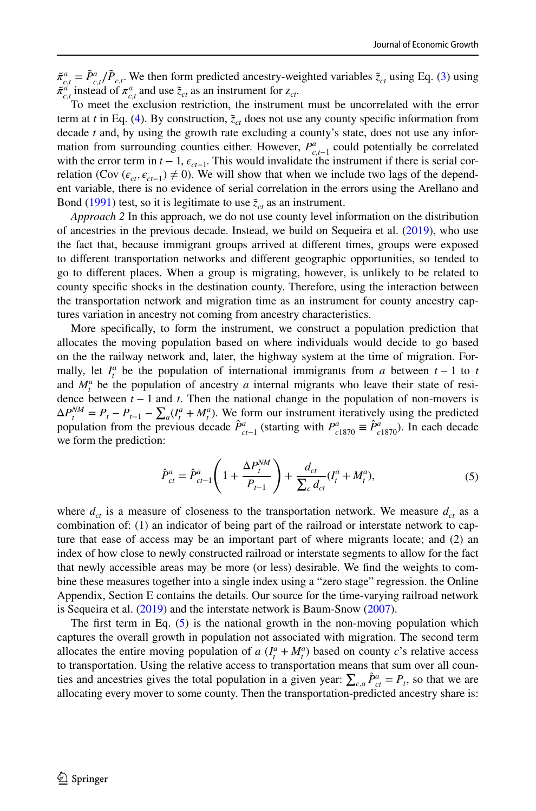$\tilde{\pi}_{ct}^{a} = \tilde{P}_{ct}^{a}$ ,  $\tilde{P}_{c,t}$ . We then form predicted ancestry-weighted variables  $\tilde{z}_{ct}$  using Eq. [\(3](#page-18-3)) using  $\tilde{z}_{ct}$  $\tilde{\pi}_{c,t}^{a}$  instead of  $\pi_{c,t}^{a}$  and use  $\tilde{z}_{ct}$  as an instrument for  $z_{ct}$ .

To meet the exclusion restriction, the instrument must be uncorrelated with the error term at *t* in Eq. [\(4](#page-18-1)). By construction,  $\tilde{z}_{ct}$  does not use any county specific information from decade *t* and, by using the growth rate excluding a county's state, does not use any information from surrounding counties either. However,  $P_{c,t-1}^a$  could potentially be correlated with the error term in  $t - 1$ ,  $\epsilon_{ct-1}$ . This would invalidate the instrument if there is serial correlation (Cov  $(\epsilon_{ct}, \epsilon_{ct-1}) \neq 0$ ). We will show that when we include two lags of the dependent variable, there is no evidence of serial correlation in the errors using the Arellano and Bond ([1991\)](#page-37-1) test, so it is legitimate to use  $\tilde{z}_{ct}$  as an instrument.

*Approach 2* In this approach, we do not use county level information on the distribution of ancestries in the previous decade. Instead, we build on Sequeira et al. [\(2019](#page-39-0)), who use the fact that, because immigrant groups arrived at different times, groups were exposed to different transportation networks and different geographic opportunities, so tended to go to different places. When a group is migrating, however, is unlikely to be related to county specific shocks in the destination county. Therefore, using the interaction between the transportation network and migration time as an instrument for county ancestry captures variation in ancestry not coming from ancestry characteristics.

More specifically, to form the instrument, we construct a population prediction that allocates the moving population based on where individuals would decide to go based on the the railway network and, later, the highway system at the time of migration. Formally, let  $I_t^a$  be the population of international immigrants from *a* between  $t - 1$  to *t* and  $M_t^a$  be the population of ancestry *a* internal migrants who leave their state of residence between *t* − 1 and *t*. Then the national change in the population of non-movers is  $\Delta P_t^{NM} = P_t - P_{t-1} - \sum_a (I_t^a + M_t^a)$ . We form our instrument iteratively using the predicted population from the previous decade  $\hat{P}$ <sup>*a*</sup><sub>*ct*−1</sub> (starting with  $P$ <sup>*a*</sup><sub>*c*1870</sub> ≡  $\hat{P}$ <sup>*a*</sup><sub>*c*1870</sub>). In each decade we form the prediction:

<span id="page-23-0"></span>
$$
\hat{P}_{ct}^{a} = \hat{P}_{ct-1}^{a} \left( 1 + \frac{\Delta P_{t}^{NM}}{P_{t-1}} \right) + \frac{d_{ct}}{\sum_{c} d_{ct}} (I_{t}^{a} + M_{t}^{a}),
$$
\n(5)

where  $d_{ct}$  is a measure of closeness to the transportation network. We measure  $d_{ct}$  as a combination of: (1) an indicator of being part of the railroad or interstate network to capture that ease of access may be an important part of where migrants locate; and (2) an index of how close to newly constructed railroad or interstate segments to allow for the fact that newly accessible areas may be more (or less) desirable. We find the weights to combine these measures together into a single index using a "zero stage" regression. the Online Appendix, Section E contains the details. Our source for the time-varying railroad network is Sequeira et al. ([2019\)](#page-39-0) and the interstate network is Baum-Snow [\(2007](#page-38-26)).

The first term in Eq.  $(5)$  is the national growth in the non-moving population which captures the overall growth in population not associated with migration. The second term allocates the entire moving population of *a*  $(I_t^a + M_t^a)$  based on county *c*'s relative access to transportation. Using the relative access to transportation means that sum over all counties and ancestries gives the total population in a given year:  $\sum_{c,a} \hat{P}^a_{ct} = P_t$ , so that we are allocating every mover to some county. Then the transportation-predicted ancestry share is: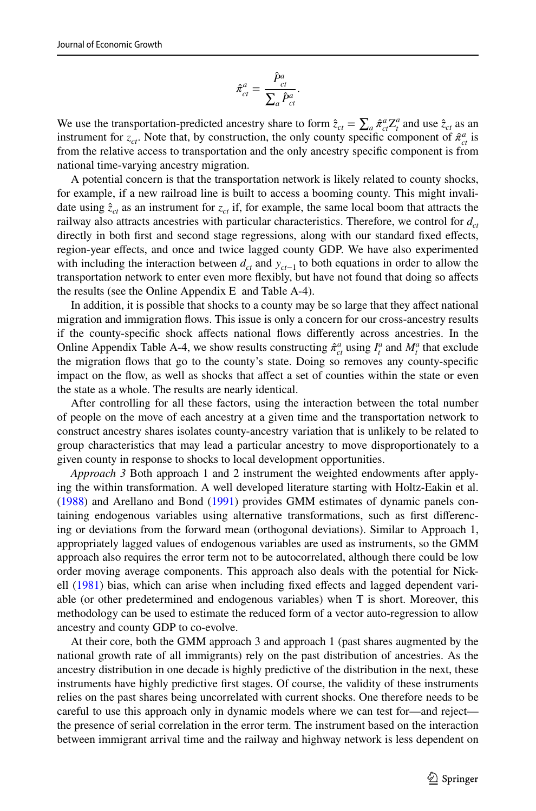$$
\hat{\pi}_{ct}^{a} = \frac{\hat{P}_{ct}^{a}}{\sum_{a} \hat{P}_{ct}^{a}}.
$$

We use the transportation-predicted ancestry share to form  $\hat{z}_{ct} = \sum_a \hat{\pi}_{ct}^a Z_t^a$  and use  $\hat{z}_{ct}$  as an instrument for  $z_{ct}$ . Note that, by construction, the only county specific component of  $\hat{\pi}_{ct}^{a}$  is from the relative access to transportation and the only ancestry specific component is from national time-varying ancestry migration.

A potential concern is that the transportation network is likely related to county shocks, for example, if a new railroad line is built to access a booming county. This might invalidate using  $\hat{z}_{ct}$  as an instrument for  $z_{ct}$  if, for example, the same local boom that attracts the railway also attracts ancestries with particular characteristics. Therefore, we control for  $d_{ct}$ directly in both first and second stage regressions, along with our standard fixed effects, region-year effects, and once and twice lagged county GDP. We have also experimented with including the interaction between  $d_{ct}$  and  $y_{ct-1}$  to both equations in order to allow the transportation network to enter even more flexibly, but have not found that doing so affects the results (see the Online Appendix E and Table A-4).

In addition, it is possible that shocks to a county may be so large that they affect national migration and immigration flows. This issue is only a concern for our cross-ancestry results if the county-specific shock affects national flows differently across ancestries. In the Online Appendix Table A-4, we show results constructing  $\hat{\pi}_{ct}^a$  using  $I_t^a$  and  $M_t^a$  that exclude the migration flows that go to the county's state. Doing so removes any county-specific impact on the flow, as well as shocks that affect a set of counties within the state or even the state as a whole. The results are nearly identical.

After controlling for all these factors, using the interaction between the total number of people on the move of each ancestry at a given time and the transportation network to construct ancestry shares isolates county-ancestry variation that is unlikely to be related to group characteristics that may lead a particular ancestry to move disproportionately to a given county in response to shocks to local development opportunities.

*Approach 3* Both approach 1 and 2 instrument the weighted endowments after applying the within transformation. A well developed literature starting with Holtz-Eakin et al. ([1988\)](#page-38-5) and Arellano and Bond [\(1991](#page-37-1)) provides GMM estimates of dynamic panels containing endogenous variables using alternative transformations, such as first differencing or deviations from the forward mean (orthogonal deviations). Similar to Approach 1, appropriately lagged values of endogenous variables are used as instruments, so the GMM approach also requires the error term not to be autocorrelated, although there could be low order moving average components. This approach also deals with the potential for Nickell ([1981\)](#page-39-1) bias, which can arise when including fixed effects and lagged dependent variable (or other predetermined and endogenous variables) when T is short. Moreover, this methodology can be used to estimate the reduced form of a vector auto-regression to allow ancestry and county GDP to co-evolve.

At their core, both the GMM approach 3 and approach 1 (past shares augmented by the national growth rate of all immigrants) rely on the past distribution of ancestries. As the ancestry distribution in one decade is highly predictive of the distribution in the next, these instruments have highly predictive first stages. Of course, the validity of these instruments relies on the past shares being uncorrelated with current shocks. One therefore needs to be careful to use this approach only in dynamic models where we can test for—and reject the presence of serial correlation in the error term. The instrument based on the interaction between immigrant arrival time and the railway and highway network is less dependent on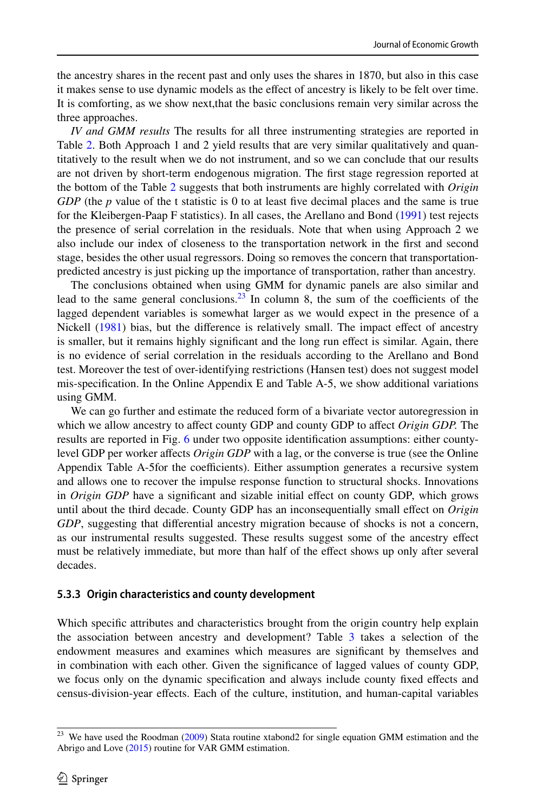the ancestry shares in the recent past and only uses the shares in 1870, but also in this case it makes sense to use dynamic models as the effect of ancestry is likely to be felt over time. It is comforting, as we show next,that the basic conclusions remain very similar across the three approaches.

*IV and GMM results* The results for all three instrumenting strategies are reported in Table [2.](#page-19-0) Both Approach 1 and 2 yield results that are very similar qualitatively and quantitatively to the result when we do not instrument, and so we can conclude that our results are not driven by short-term endogenous migration. The first stage regression reported at the bottom of the Table [2](#page-19-0) suggests that both instruments are highly correlated with *Origin GDP* (the *p* value of the t statistic is 0 to at least five decimal places and the same is true for the Kleibergen-Paap F statistics). In all cases, the Arellano and Bond ([1991\)](#page-37-1) test rejects the presence of serial correlation in the residuals. Note that when using Approach 2 we also include our index of closeness to the transportation network in the first and second stage, besides the other usual regressors. Doing so removes the concern that transportationpredicted ancestry is just picking up the importance of transportation, rather than ancestry.

The conclusions obtained when using GMM for dynamic panels are also similar and lead to the same general conclusions. $23$  In column 8, the sum of the coefficients of the lagged dependent variables is somewhat larger as we would expect in the presence of a Nickell [\(1981](#page-39-1)) bias, but the difference is relatively small. The impact effect of ancestry is smaller, but it remains highly significant and the long run effect is similar. Again, there is no evidence of serial correlation in the residuals according to the Arellano and Bond test. Moreover the test of over-identifying restrictions (Hansen test) does not suggest model mis-specification. In the Online Appendix E and Table A-5, we show additional variations using GMM.

We can go further and estimate the reduced form of a bivariate vector autoregression in which we allow ancestry to affect county GDP and county GDP to affect *Origin GDP.* The results are reported in Fig. [6](#page-26-0) under two opposite identification assumptions: either countylevel GDP per worker affects *Origin GDP* with a lag, or the converse is true (see the Online Appendix Table A-5for the coefficients). Either assumption generates a recursive system and allows one to recover the impulse response function to structural shocks. Innovations in *Origin GDP* have a significant and sizable initial effect on county GDP, which grows until about the third decade. County GDP has an inconsequentially small effect on *Origin GDP*, suggesting that differential ancestry migration because of shocks is not a concern, as our instrumental results suggested. These results suggest some of the ancestry effect must be relatively immediate, but more than half of the effect shows up only after several decades.

#### <span id="page-25-0"></span>**5.3.3 Origin characteristics and county development**

Which specific attributes and characteristics brought from the origin country help explain the association between ancestry and development? Table [3](#page-27-0) takes a selection of the endowment measures and examines which measures are significant by themselves and in combination with each other. Given the significance of lagged values of county GDP, we focus only on the dynamic specification and always include county fixed effects and census-division-year effects. Each of the culture, institution, and human-capital variables

<span id="page-25-1"></span> $^{23}$  We have used the Roodman ([2009\)](#page-39-14) Stata routine xtabond2 for single equation GMM estimation and the Abrigo and Love ([2015\)](#page-37-14) routine for VAR GMM estimation.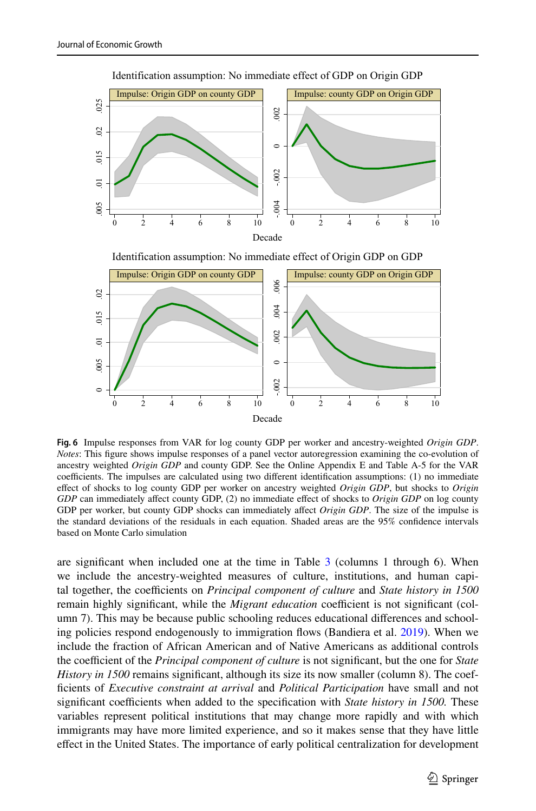

Identification assumption: No immediate effect of GDP on Origin GDP

<span id="page-26-0"></span>**Fig. 6** Impulse responses from VAR for log county GDP per worker and ancestry-weighted *Origin GDP*. *Notes*: This figure shows impulse responses of a panel vector autoregression examining the co-evolution of ancestry weighted *Origin GDP* and county GDP. See the Online Appendix E and Table A-5 for the VAR coefficients. The impulses are calculated using two different identification assumptions: (1) no immediate effect of shocks to log county GDP per worker on ancestry weighted *Origin GDP*, but shocks to *Origin GDP* can immediately affect county GDP, (2) no immediate effect of shocks to *Origin GDP* on log county GDP per worker, but county GDP shocks can immediately affect *Origin GDP*. The size of the impulse is the standard deviations of the residuals in each equation. Shaded areas are the 95% confidence intervals based on Monte Carlo simulation

are significant when included one at the time in Table  $3$  (columns 1 through 6). When we include the ancestry-weighted measures of culture, institutions, and human capital together, the coefficients on *Principal component of culture* and *State history in 1500*  remain highly significant, while the *Migrant education* coefficient is not significant (column 7). This may be because public schooling reduces educational differences and schooling policies respond endogenously to immigration flows (Bandiera et al. [2019\)](#page-38-10). When we include the fraction of African American and of Native Americans as additional controls the coefficient of the *Principal component of culture* is not significant, but the one for *State History in 1500* remains significant, although its size its now smaller (column 8). The coefficients of *Executive constraint at arrival* and *Political Participation* have small and not significant coefficients when added to the specification with *State history in 1500.* These variables represent political institutions that may change more rapidly and with which immigrants may have more limited experience, and so it makes sense that they have little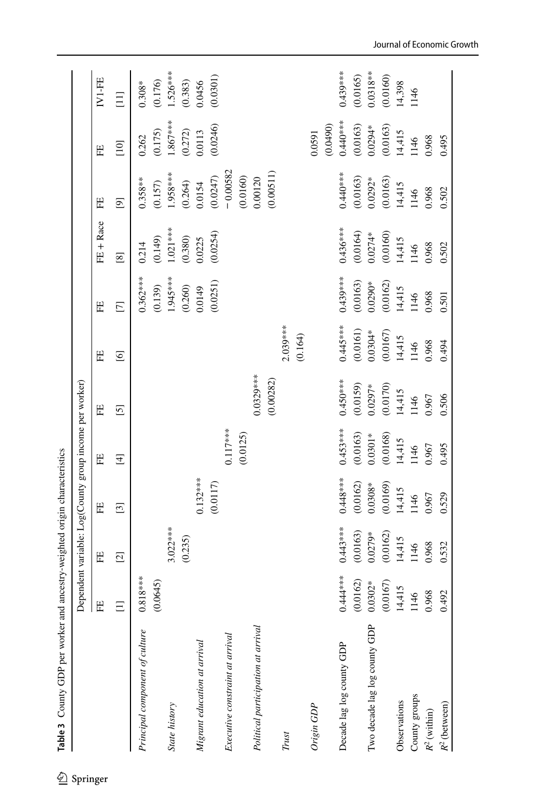<span id="page-27-0"></span>

|                                    |            |            | Dependent variable: Log(County group income per worker) |            |             |                |            |             |                |                     |             |
|------------------------------------|------------|------------|---------------------------------------------------------|------------|-------------|----------------|------------|-------------|----------------|---------------------|-------------|
|                                    | Ë          | E          | Ë                                                       | EE         | Ë           | E              | Ë          | $FE + Race$ | EE             | Ë                   | $N1-FE$     |
|                                    |            |            | $\begin{bmatrix} 3 \end{bmatrix}$                       | $\pm$      | 5           | $\overline{6}$ | $\Box$     | $\boxed{8}$ | $\overline{9}$ | $[10]$              | $\Xi$       |
| Principal component of culture     | $.818***$  |            |                                                         |            |             |                | $0.362***$ | 0.214       | $0.358***$     | 0.262               | $0.308*$    |
|                                    | (0.0645)   |            |                                                         |            |             |                | (0.139)    | (0.149)     | (0.157)        | (0.175)             | (0.176)     |
| State history                      |            | $3.022***$ |                                                         |            |             |                | 1.945****  | $1.021***$  | 1.958***       | $1.867***$          | 1.526***    |
|                                    |            | (0.235)    |                                                         |            |             |                | (0.260)    | (0.380)     | (0.264)        |                     | (0.383)     |
| Migrant education at arrival       |            |            | $0.132***$                                              |            |             |                | 0.0149     | 0.0225      | 0.0154         | $(0.272)$<br>0.0113 | 0.0456      |
|                                    |            |            | (0.0117)                                                |            |             |                | (0.0251)   | (0.0254)    | (0.0247)       | (0.0246)            | (0.0301)    |
| Executive constraint at arrival    |            |            |                                                         | $0.117***$ |             |                |            |             | $-0.00582$     |                     |             |
|                                    |            |            |                                                         | (0.0125)   |             |                |            |             | (0.0160)       |                     |             |
| Political participation at arrival |            |            |                                                         |            | $0.0329***$ |                |            |             | 0.00120        |                     |             |
|                                    |            |            |                                                         |            | (0.00282)   |                |            |             | (0.00511)      |                     |             |
| Trust                              |            |            |                                                         |            |             | $2.039***$     |            |             |                |                     |             |
|                                    |            |            |                                                         |            |             | (0.164)        |            |             |                |                     |             |
| Origin GDP                         |            |            |                                                         |            |             |                |            |             |                | 0.0591              |             |
|                                    |            |            |                                                         |            |             |                |            |             |                | (0.0490)            |             |
| Decade lag log county GDP          | $0.444***$ | $0.443***$ | $0.448***$                                              | $0.453***$ | $0.450***$  | $0.445***$     | $0.439***$ | $0.436***$  | $0.440***$     | $0.440***$          | $0.439***$  |
|                                    | (0.0162)   | (0.0163)   | (0.0162)                                                | (0.0163)   | (0.0159)    | (0.0161)       | (0.0163)   | (0.0164)    | (0.0163)       | (0.0163)            | (0.0165)    |
| Two decade lag log county GDP      | 0.0302*    | $0.0279*$  | $0.0308*$                                               | $0.0301*$  | $0.0297*$   | $0.0304*$      | $0.0290*$  | $0.0274*$   | $0.0292*$      | $0.0294*$           | $0.0318***$ |
|                                    | (0.0167)   | (0.0162)   | (0.0169)                                                | (0.0168)   | (0.0170)    | (0.0167)       | (0.0162)   | (0.0160)    | (0.0163)       | (0.0163)            | (0.0160)    |
| Observations                       | 14,415     | 14,415     | 14,415                                                  | 14,415     | 14,415      | 14,415         | 14,415     | 14,415      | 14,415         | 14,415              | 14,398      |
| County groups                      | 146        | 1146       | 1146                                                    | 1146       | 1146        | 1146           | 1146       | 1146        | 1146           | 1146                | 1146        |
| $R^2$ (within)                     | 1.968      | 0.968      | 0.967                                                   | 0.967      | 0.967       | 0.968          | 0.968      | 0.968       | 0.968          | 0.968               |             |
| $R^2$ (between)                    | 1.492      | 0.532      | 0.529                                                   | 0.495      | 0.506       | 0.494          | 0.501      | 0.502       | 0.502          | 0.495               |             |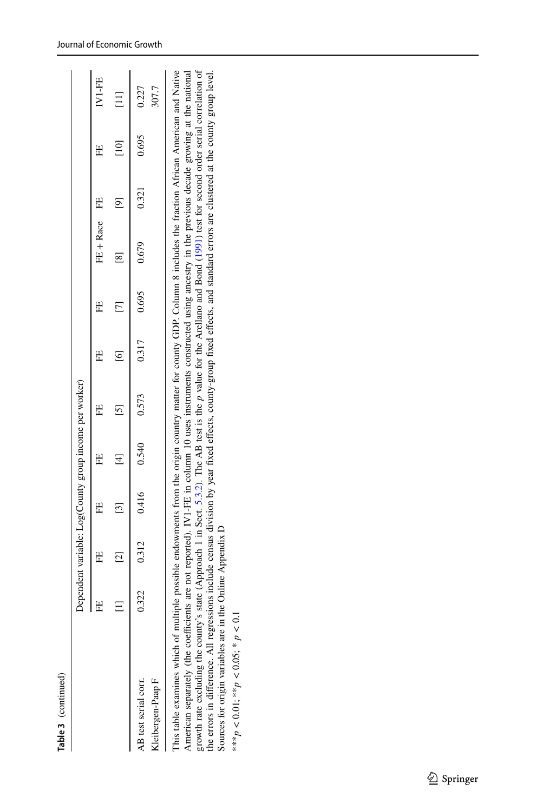| ٦ |
|---|
|   |
|   |
|   |

|                                                                                                                                                                                                                                                                                                                                                 |          |              |                                   |               | Dependent variable: Log(County group income per worker) |                |                                   |                                                                                                                                                                                                                                |                                   |        |                |
|-------------------------------------------------------------------------------------------------------------------------------------------------------------------------------------------------------------------------------------------------------------------------------------------------------------------------------------------------|----------|--------------|-----------------------------------|---------------|---------------------------------------------------------|----------------|-----------------------------------|--------------------------------------------------------------------------------------------------------------------------------------------------------------------------------------------------------------------------------|-----------------------------------|--------|----------------|
|                                                                                                                                                                                                                                                                                                                                                 | Ë        | $\mathbb{H}$ |                                   | 띺             | Ë                                                       | 띹              | 띺                                 | FE+Race FE                                                                                                                                                                                                                     |                                   | 띺      | $N1-FE$        |
|                                                                                                                                                                                                                                                                                                                                                 | $\equiv$ | $[2]$        | $\begin{bmatrix} 3 \end{bmatrix}$ | $\frac{4}{5}$ |                                                         | $\overline{6}$ | $\begin{bmatrix} 7 \end{bmatrix}$ |                                                                                                                                                                                                                                | $\begin{bmatrix} 9 \end{bmatrix}$ | $[10]$ | $\Xi$          |
| Cleibergen-Paap F<br>AB test serial corr.                                                                                                                                                                                                                                                                                                       |          |              |                                   |               |                                                         |                |                                   | $0.322$ $0.679$ $0.673$ $0.573$ $0.573$ $0.573$ $0.675$ $0.675$ $0.675$ $0.675$ $0.675$ $0.675$ $0.675$ $0.675$ $0.675$ $0.675$ $0.675$ $0.675$ $0.675$ $0.675$ $0.675$ $0.675$ $0.675$ $0.675$ $0.675$ $0.675$ $0.675$ $0.67$ |                                   | 0.695  | 307.7<br>0.227 |
| American separately (the coefficients are not reported). IV1-FE in column 10 uses instruments constructed using ancestry in the previous decade growing at the national<br>This table examines which of multiple possible endowments from the origin country matter for country GDP. Column 8 includes the fraction African American and Native |          |              |                                   |               |                                                         |                |                                   |                                                                                                                                                                                                                                |                                   |        |                |

growth rate excluding the county's state (Approach 1 in Sect. 5.3.2). The AB test is the p value for the Arellano and Bond (1991) test for second order serial correlation of growth rate excluding the county's state (Approach 1 in Sect. [5.3.2](#page-22-0)). The AB test is the *p* value for the Arellano and Bond ([1991](#page-37-1)) test for second order serial correlation of the errors in difference. All regressions include census division by year fixed effects, county-group fixed effects, and standard errors are clustered at the county group level. the errors in difference. All regressions include census division by year fixed effects, county-group fixed effects, and standard errors are clustered at the county group level. Sources for origin variables are in the Online Appendix D Sources for origin variables are in the Online Appendix D

\*\*\* $p < 0.01$ ; \*\* $p < 0.05$ ; \*  $p < 0.1$ \*\*\**p <* 0.01 ; \*\**p <* 0.05 ; \* *p <* 0.1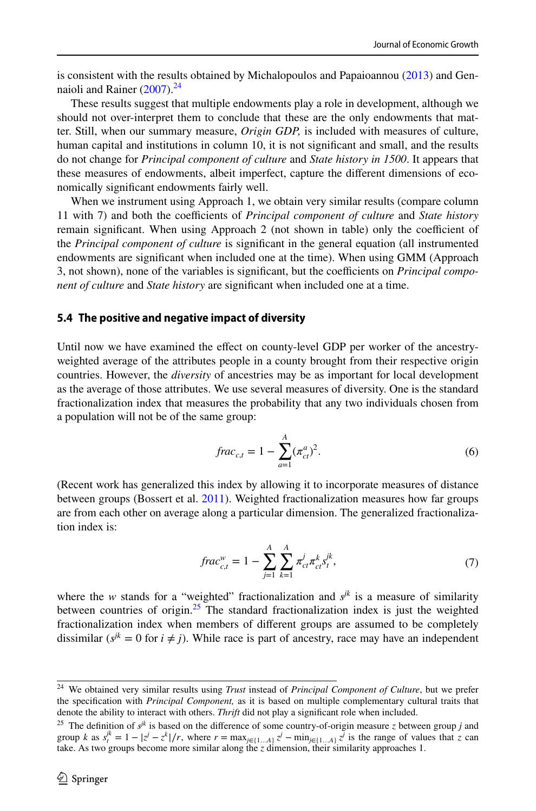is consistent with the results obtained by Michalopoulos and Papaioannou ([2013\)](#page-38-27) and Gen-naioli and Rainer ([2007\)](#page-38-28).<sup>[24](#page-29-1)</sup>

These results suggest that multiple endowments play a role in development, although we should not over-interpret them to conclude that these are the only endowments that matter. Still, when our summary measure, *Origin GDP,* is included with measures of culture, human capital and institutions in column 10, it is not significant and small, and the results do not change for *Principal component of culture* and *State history in 1500*. It appears that these measures of endowments, albeit imperfect, capture the different dimensions of economically significant endowments fairly well.

When we instrument using Approach 1, we obtain very similar results (compare column 11 with 7) and both the coefficients of *Principal component of culture* and *State history*  remain significant. When using Approach 2 (not shown in table) only the coefficient of the *Principal component of culture* is significant in the general equation (all instrumented endowments are significant when included one at the time). When using GMM (Approach 3, not shown), none of the variables is significant, but the coefficients on *Principal component of culture* and *State history* are significant when included one at a time.

#### <span id="page-29-0"></span>**5.4 The positive and negative impact of diversity**

Until now we have examined the effect on county-level GDP per worker of the ancestryweighted average of the attributes people in a county brought from their respective origin countries. However, the *diversity* of ancestries may be as important for local development as the average of those attributes. We use several measures of diversity. One is the standard fractionalization index that measures the probability that any two individuals chosen from a population will not be of the same group:

$$
frac_{c,t} = 1 - \sum_{a=1}^{A} (\pi_{ct}^a)^2.
$$
 (6)

(Recent work has generalized this index by allowing it to incorporate measures of distance between groups (Bossert et al. [2011\)](#page-38-29). Weighted fractionalization measures how far groups are from each other on average along a particular dimension. The generalized fractionalization index is:

$$
frac_{c,t}^{w} = 1 - \sum_{j=1}^{A} \sum_{k=1}^{A} \pi_{ct}^{j} \pi_{ct}^{k} s_{t}^{jk},
$$
\n(7)

where the *w* stands for a "weighted" fractionalization and  $s^{jk}$  is a measure of similarity between countries of origin.<sup>[25](#page-29-2)</sup> The standard fractionalization index is just the weighted fractionalization index when members of different groups are assumed to be completely dissimilar ( $s^{jk} = 0$  for  $i \neq j$ ). While race is part of ancestry, race may have an independent

<span id="page-29-1"></span><sup>24</sup> We obtained very similar results using *Trust* instead of *Principal Component of Culture*, but we prefer the specification with *Principal Component,* as it is based on multiple complementary cultural traits that denote the ability to interact with others. *Thrift* did not play a significant role when included.

<span id="page-29-2"></span><sup>&</sup>lt;sup>25</sup> The definition of  $s^{jk}$  is based on the difference of some country-of-origin measure *z* between group *j* and group k as  $s_t^{jk} = 1 - |z^j - z^k|/r$ , where  $r = \max_{j \in \{1...A\}} z^j - \min_{j \in \{1...A\}} z^j$  is the range of values that z can take. As two groups become more similar along the *z* dimension, their similarity approaches 1.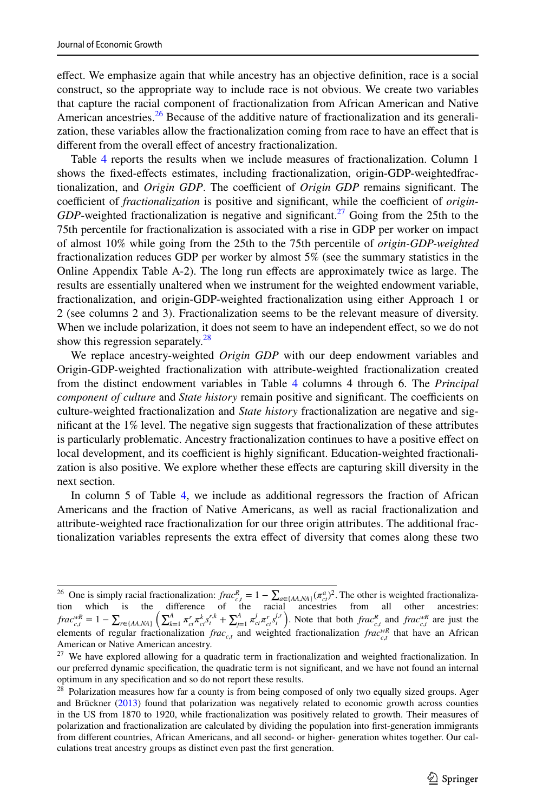effect. We emphasize again that while ancestry has an objective definition, race is a social construct, so the appropriate way to include race is not obvious. We create two variables that capture the racial component of fractionalization from African American and Native American ancestries.<sup>[26](#page-30-0)</sup> Because of the additive nature of fractionalization and its generalization, these variables allow the fractionalization coming from race to have an effect that is different from the overall effect of ancestry fractionalization.

Table [4](#page-31-0) reports the results when we include measures of fractionalization. Column 1 shows the fixed-effects estimates, including fractionalization, origin-GDP-weightedfractionalization, and *Origin GDP*. The coefficient of *Origin GDP* remains significant. The coefficient of *fractionalization* is positive and significant, while the coefficient of *origin-GDP*-weighted fractionalization is negative and significant.<sup>[27](#page-30-1)</sup> Going from the 25th to the 75th percentile for fractionalization is associated with a rise in GDP per worker on impact of almost 10% while going from the 25th to the 75th percentile of *origin-GDP-weighted* fractionalization reduces GDP per worker by almost 5% (see the summary statistics in the Online Appendix Table A-2). The long run effects are approximately twice as large. The results are essentially unaltered when we instrument for the weighted endowment variable, fractionalization, and origin-GDP-weighted fractionalization using either Approach 1 or 2 (see columns 2 and 3). Fractionalization seems to be the relevant measure of diversity. When we include polarization, it does not seem to have an independent effect, so we do not show this regression separately.<sup>[28](#page-30-2)</sup>

We replace ancestry-weighted *Origin GDP* with our deep endowment variables and Origin-GDP-weighted fractionalization with attribute-weighted fractionalization created from the distinct endowment variables in Table [4](#page-31-0) columns 4 through 6. The *Principal component of culture* and *State history* remain positive and significant. The coefficients on culture-weighted fractionalization and *State history* fractionalization are negative and significant at the  $1\%$  level. The negative sign suggests that fractionalization of these attributes is particularly problematic. Ancestry fractionalization continues to have a positive effect on local development, and its coefficient is highly significant. Education-weighted fractionalization is also positive. We explore whether these effects are capturing skill diversity in the next section.

In column 5 of Table [4,](#page-31-0) we include as additional regressors the fraction of African Americans and the fraction of Native Americans, as well as racial fractionalization and attribute-weighted race fractionalization for our three origin attributes. The additional fractionalization variables represents the extra effect of diversity that comes along these two

<span id="page-30-0"></span><sup>&</sup>lt;sup>26</sup> One is simply racial fractionalization:  $frac{R}{c}$ ,  $t = 1 - \sum_{a \in \{AA, NA\}} (\pi_{c_1}^a)^2$ . The other is weighted fractionalization which is the difference of the racial ancestries from all other ancestries:  $frac{wR}{c_{c,t}} = 1 - \sum_{r \in \{AA, NA\}} \left( \sum_{k=1}^{A} \pi_{cr}^r \pi_{cr}^k s_r^{r,k} + \sum_{j=1}^{A} \pi_{cr}^j \pi_{cr}^r s_r^{j,r} \right)$ . Note that both  $frac_{c,t}$  and  $frac_{c,t}$  are just the elements of regular fractionalization *frac<sub>c<sub>c</sub>*</sub> and weighted fractionalization *frac<sup>wR</sup>* that have an African American or Native American ancestry.

<span id="page-30-1"></span><sup>&</sup>lt;sup>27</sup> We have explored allowing for a quadratic term in fractionalization and weighted fractionalization. In our preferred dynamic specification, the quadratic term is not significant, and we have not found an internal optimum in any specification and so do not report these results.

<span id="page-30-2"></span><sup>&</sup>lt;sup>28</sup> Polarization measures how far a county is from being composed of only two equally sized groups. Ager and Brückner ([2013\)](#page-37-9) found that polarization was negatively related to economic growth across counties in the US from 1870 to 1920, while fractionalization was positively related to growth. Their measures of polarization and fractionalization are calculated by dividing the population into first-generation immigrants from different countries, African Americans, and all second- or higher- generation whites together. Our calculations treat ancestry groups as distinct even past the first generation.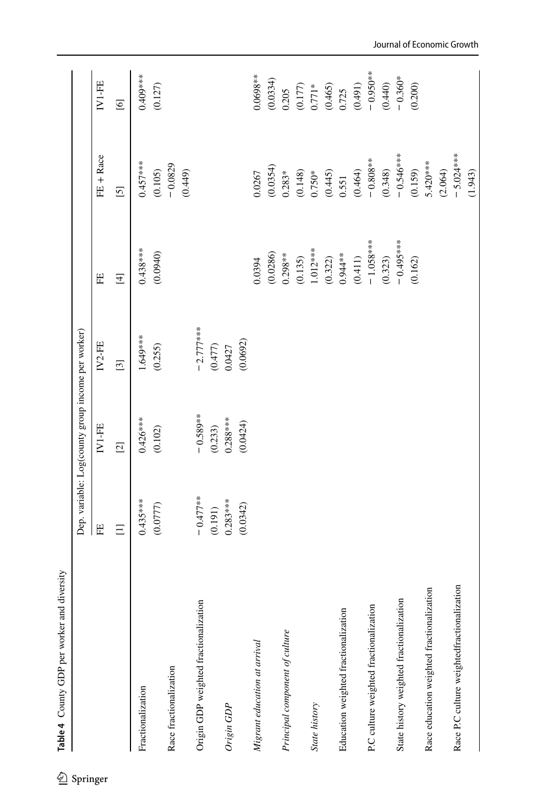<span id="page-31-0"></span>

|                                            |            | Dep. variable: Log(county group income per worker) |             |             |                                   |                                                                      |
|--------------------------------------------|------------|----------------------------------------------------|-------------|-------------|-----------------------------------|----------------------------------------------------------------------|
|                                            | 뚠          | $IV1-FE$                                           | $IV2-FE$    | EE          | $FE + Race$                       | $IV1-FE$                                                             |
|                                            | $\equiv$   | $\boxed{2}$                                        | $\boxed{3}$ | $\pm$       | $\begin{bmatrix} 5 \end{bmatrix}$ | $\overline{6}$                                                       |
| Fractionalization                          | $0.435***$ | $0.426***$                                         | 1.649****   | $0.438***$  | $0.457***$                        | 0.409***                                                             |
|                                            | $(0.0777)$ | (0.102)                                            | (0.255)     | (0.0940)    | $(0.105)$<br>- 0.0829             | (0.127)                                                              |
| Race fractionalization                     |            |                                                    |             |             | (0.449)                           |                                                                      |
| Origin GDP weighted fractionalization      | $-0.477**$ | $-0.589***$                                        | $-2.777***$ |             |                                   |                                                                      |
|                                            | (0.191)    | (0.233)                                            | (0.477)     |             |                                   |                                                                      |
| Origin GDP                                 | $0.283***$ | $0.288***$                                         | 0.0427      |             |                                   |                                                                      |
|                                            | (0.0342)   | (0.0424)                                           | (0.0692)    |             |                                   |                                                                      |
| Migrant education at arrival               |            |                                                    |             | 0.0394      | 0.0267                            | $0.0698**$                                                           |
|                                            |            |                                                    |             | (0.0286)    | (0.0354)                          | (0.0334)                                                             |
| Principal component of culture             |            |                                                    |             | $0.298***$  | $0.283*$                          | 0.205                                                                |
|                                            |            |                                                    |             | (0.135)     | (0.148)                           | $\begin{array}{c} (0.177) \\ 0.771* \\ (0.465) \\ 0.725 \end{array}$ |
| State history                              |            |                                                    |             | $1.012***$  | $0.750*$                          |                                                                      |
|                                            |            |                                                    |             | (0.322)     | (0.445)                           |                                                                      |
| Education weighted fractionalization       |            |                                                    |             | $0.944**$   | 0.551                             |                                                                      |
|                                            |            |                                                    |             | (0.411)     |                                   | (0.491)                                                              |
| P.C culture weighted fractionalization     |            |                                                    |             | $-1.058***$ | $(0.464)$<br>- 0.808**            | $-0.950**$                                                           |
|                                            |            |                                                    |             | (0.323)     | (0.348)                           | (0.440)                                                              |
| State history weighted fractionalization   |            |                                                    |             | $-0.495***$ | $-0.546***$                       | $-0.360*$                                                            |
|                                            |            |                                                    |             | (0.162)     | (0.159)                           | (0.200)                                                              |
| Race education weighted fractionalization  |            |                                                    |             |             | $5.420***$                        |                                                                      |
|                                            |            |                                                    |             |             | (2.064)                           |                                                                      |
| Race P.C culture weightedfractionalization |            |                                                    |             |             | $-5.024***$                       |                                                                      |
|                                            |            |                                                    |             |             | (1.943)                           |                                                                      |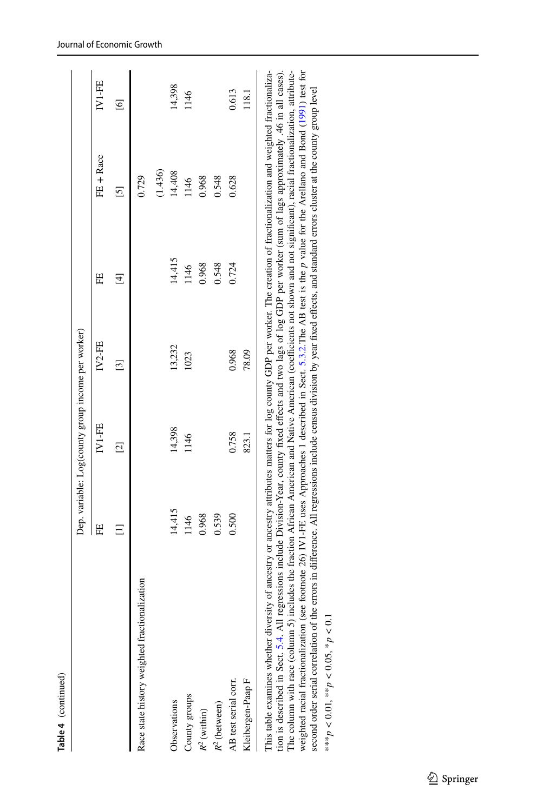|                                               |        | Dep. variable: Log(county group income per worker) |             |        |             |        |
|-----------------------------------------------|--------|----------------------------------------------------|-------------|--------|-------------|--------|
|                                               | Ë      | $N1-FE$                                            | $IV2$ -FE   | Ë      | $FE + Race$ | IV1-FE |
|                                               |        | $\overline{2}$                                     | $\boxed{3}$ | $\pm$  | 5           | ତ୍ର    |
| Race state history weighted fractionalization |        |                                                    |             |        | 0.729       |        |
|                                               |        |                                                    |             |        | (1.436)     |        |
| Observations                                  | 14,415 | 14,398                                             | 13,232      | 14,415 | 14,408      | 14,398 |
| County groups                                 | 1146   | 1146                                               | 1023        | 146    | 1146        | 1146   |
| $\mathbb{R}^2$ (within)                       | 0.968  |                                                    |             | 0.968  | 0.968       |        |
| $R^2$ (between)                               | 0.539  |                                                    |             | 0.548  | 0.548       |        |
| AB test serial corr.                          | 0.500  | 0.758                                              | 0.968       | 0.724  | 0.628       | 0.613  |
| Kleibergen-Paap F                             |        | 823.1                                              | 78.09       |        |             | 118.1  |

A construction of the Construction (see footnote 26) IV1-FE uses Approaches 1 described in Sect. 5.3.2.The AB test is the p value for the Arellano and Bond (1991) test for the forther and Bond (1991) test for the Arellano weighted racial fractionalization (see footnote 26) IV1-FE uses Approaches 1 described in Sect. [5.3.2](#page-22-0).The AB test is the *p* value for the Arellano and Bond [\(1991](#page-37-1)) test for second order serial correlation of the errors in difference. All regressions include census division by year fixed effects, and standard errors cluster at the county group level second order serial correlation of the errors in difference. All regressions include census division by year fixed effects, and standard errors cluster at the county group level

\*\*\* $p < 0.01$ , \*\* $p < 0.05$ , \* $p < 0.1$ \*\*\**p <* 0.01 , \*\**p <* 0.05 , \* *p <* 0.1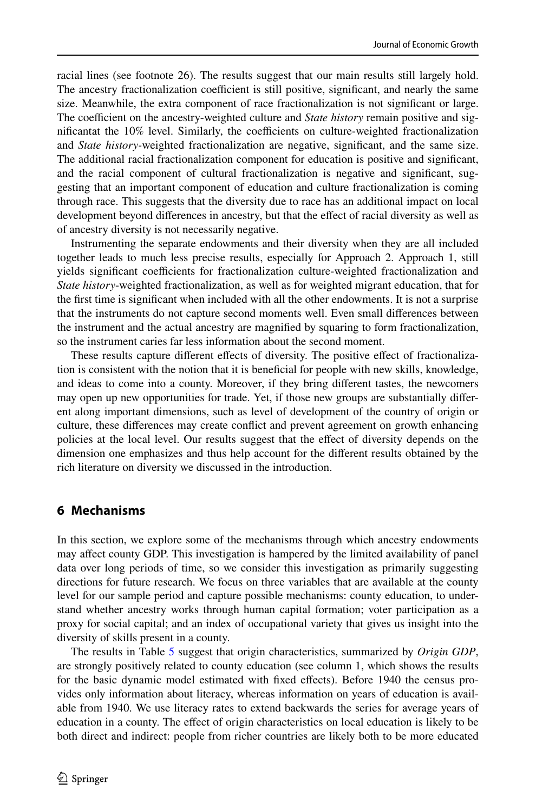racial lines (see footnote 26). The results suggest that our main results still largely hold. The ancestry fractionalization coefficient is still positive, significant, and nearly the same size. Meanwhile, the extra component of race fractionalization is not significant or large. The coefficient on the ancestry-weighted culture and *State history* remain positive and significantat the 10% level. Similarly, the coefficients on culture-weighted fractionalization and *State history-*weighted fractionalization are negative, significant, and the same size. The additional racial fractionalization component for education is positive and significant, and the racial component of cultural fractionalization is negative and significant, suggesting that an important component of education and culture fractionalization is coming through race. This suggests that the diversity due to race has an additional impact on local development beyond differences in ancestry, but that the effect of racial diversity as well as of ancestry diversity is not necessarily negative.

Instrumenting the separate endowments and their diversity when they are all included together leads to much less precise results, especially for Approach 2. Approach 1, still yields significant coefficients for fractionalization culture-weighted fractionalization and *State history*-weighted fractionalization, as well as for weighted migrant education, that for the first time is significant when included with all the other endowments. It is not a surprise that the instruments do not capture second moments well. Even small differences between the instrument and the actual ancestry are magnified by squaring to form fractionalization, so the instrument caries far less information about the second moment.

These results capture different effects of diversity. The positive effect of fractionalization is consistent with the notion that it is beneficial for people with new skills, knowledge, and ideas to come into a county. Moreover, if they bring different tastes, the newcomers may open up new opportunities for trade. Yet, if those new groups are substantially different along important dimensions, such as level of development of the country of origin or culture, these differences may create conflict and prevent agreement on growth enhancing policies at the local level. Our results suggest that the effect of diversity depends on the dimension one emphasizes and thus help account for the different results obtained by the rich literature on diversity we discussed in the introduction.

### <span id="page-33-0"></span>**6 Mechanisms**

In this section, we explore some of the mechanisms through which ancestry endowments may affect county GDP. This investigation is hampered by the limited availability of panel data over long periods of time, so we consider this investigation as primarily suggesting directions for future research. We focus on three variables that are available at the county level for our sample period and capture possible mechanisms: county education, to understand whether ancestry works through human capital formation; voter participation as a proxy for social capital; and an index of occupational variety that gives us insight into the diversity of skills present in a county.

The results in Table [5](#page-34-0) suggest that origin characteristics, summarized by *Origin GDP*, are strongly positively related to county education (see column 1, which shows the results for the basic dynamic model estimated with fixed effects). Before 1940 the census provides only information about literacy, whereas information on years of education is available from 1940. We use literacy rates to extend backwards the series for average years of education in a county. The effect of origin characteristics on local education is likely to be both direct and indirect: people from richer countries are likely both to be more educated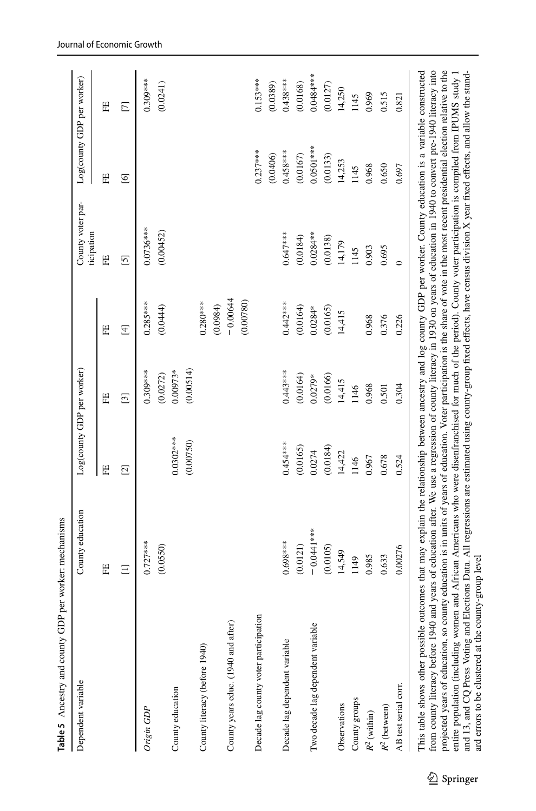| Dependent variable                    | County education | Log(county GDP per worker) |                                   |                | County voter par-<br>ticipation |                | Log(county GDP per worker) |
|---------------------------------------|------------------|----------------------------|-----------------------------------|----------------|---------------------------------|----------------|----------------------------|
|                                       | $\mathbb{H}$     | 띹                          | Ë                                 | $\mathbb{E}$   | Ë                               | 띹              | 띹                          |
|                                       | Ξ                | $[2]$                      | $\begin{bmatrix} 3 \end{bmatrix}$ | $\overline{4}$ | $\overline{5}$                  | $\overline{6}$ | $\Box$                     |
| Origin GDP                            | $0.727***$       |                            | $0.309***$                        | $0.285***$     | $0.0736***$                     |                | $0.309***$                 |
|                                       | (0.0550)         |                            | (0.0272)                          | (0.0444)       | (0.00452)                       |                | (0.0241)                   |
| County education                      |                  | $0.0302***$<br>(0.00750)   | (0.00514)<br>$0.00973*$           |                |                                 |                |                            |
|                                       |                  |                            |                                   | $0.280***$     |                                 |                |                            |
| County literacy (before 1940)         |                  |                            |                                   | (0.0984)       |                                 |                |                            |
| County years educ. (1940 and after)   |                  |                            |                                   | $-0.00644$     |                                 |                |                            |
|                                       |                  |                            |                                   | (0.00780)      |                                 |                |                            |
| Decade lag county voter participation |                  |                            |                                   |                |                                 | $0.237***$     | $0.153***$                 |
|                                       |                  |                            |                                   |                |                                 | (0.0406)       | (0.0389)                   |
| Decade lag dependent variable         | $0.698***$       | $0.454***$                 | $0.443***$                        | $0.442***$     | $0.647***$                      | $0.458***$     | $0.438***$                 |
|                                       | (0.0121)         | (0.0165)                   | (0.0164)                          | (0.0164)       | (0.0184)                        | (0.0167)       | (0.0168)                   |
| Two decade lag dependent variable     | $-0.0441***$     | 0.0274                     | $0.0279*$                         | $0.0284*$      | $0.0284**$                      | $0.0501***$    | 0.0484***                  |
|                                       | (0.0105)         | (0.0184)                   | (0.0166)                          | (0.0165)       | (0.0138)                        | (0.0133)       | (0.0127)                   |
| Observations                          | 14,549           | 14,422                     | 14,415                            | 14,415         | 14,179                          | 14,253         | 14,250                     |
| County groups                         | 1149             | 1146                       | 1146                              |                | 1145                            | 1145           | 1145                       |
| $\mathbb{R}^2$ (within)               | 0.985            | 0.967                      | 0.968                             | 0.968          | 0.903                           | 0.968          | 0.969                      |
| $\mathbb{R}^2$ (between)              | 0.633            | 0.678                      | 0.501                             | 0.376          | 0.695                           | 0.650          | 0.515                      |
| AB test serial corr.                  | 0.00276          | 0.524                      | 0.304                             | 0.226          | $\circ$                         | 0.697          | 0.821                      |

<span id="page-34-0"></span>ard errors to be clustered at the county-group level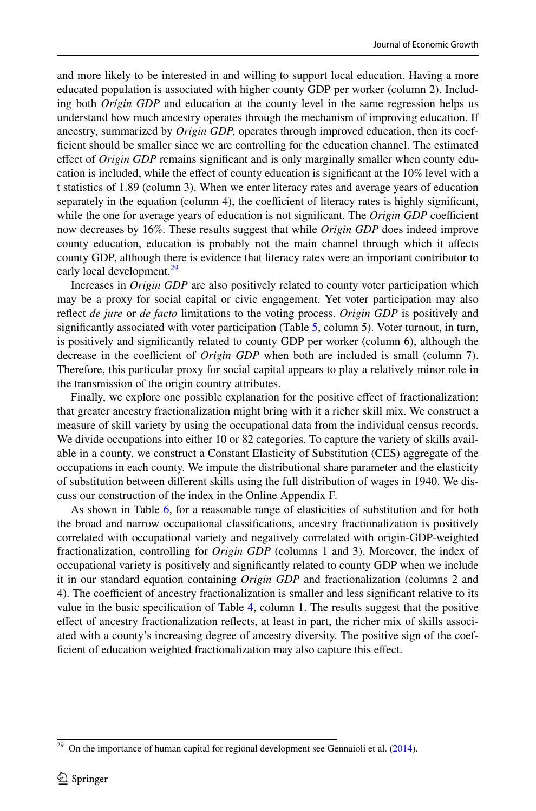and more likely to be interested in and willing to support local education. Having a more educated population is associated with higher county GDP per worker (column 2). Including both *Origin GDP* and education at the county level in the same regression helps us understand how much ancestry operates through the mechanism of improving education. If ancestry, summarized by *Origin GDP,* operates through improved education, then its coefficient should be smaller since we are controlling for the education channel. The estimated effect of *Origin GDP* remains significant and is only marginally smaller when county education is included, while the effect of county education is significant at the 10% level with a t statistics of 1.89 (column 3). When we enter literacy rates and average years of education separately in the equation (column 4), the coefficient of literacy rates is highly significant, while the one for average years of education is not significant. The *Origin GDP* coefficient now decreases by 16%. These results suggest that while *Origin GDP* does indeed improve county education, education is probably not the main channel through which it affects county GDP, although there is evidence that literacy rates were an important contributor to early local development.<sup>[29](#page-35-0)</sup>

Increases in *Origin GDP* are also positively related to county voter participation which may be a proxy for social capital or civic engagement. Yet voter participation may also reflect *de jure* or *de facto* limitations to the voting process. *Origin GDP* is positively and significantly associated with voter participation (Table [5,](#page-34-0) column 5). Voter turnout, in turn, is positively and significantly related to county GDP per worker (column 6), although the decrease in the coefficient of *Origin GDP* when both are included is small (column 7). Therefore, this particular proxy for social capital appears to play a relatively minor role in the transmission of the origin country attributes.

Finally, we explore one possible explanation for the positive effect of fractionalization: that greater ancestry fractionalization might bring with it a richer skill mix. We construct a measure of skill variety by using the occupational data from the individual census records. We divide occupations into either 10 or 82 categories. To capture the variety of skills available in a county, we construct a Constant Elasticity of Substitution (CES) aggregate of the occupations in each county. We impute the distributional share parameter and the elasticity of substitution between different skills using the full distribution of wages in 1940. We discuss our construction of the index in the Online Appendix F.

As shown in Table [6,](#page-36-1) for a reasonable range of elasticities of substitution and for both the broad and narrow occupational classifications, ancestry fractionalization is positively correlated with occupational variety and negatively correlated with origin-GDP-weighted fractionalization, controlling for *Origin GDP* (columns 1 and 3). Moreover, the index of occupational variety is positively and significantly related to county GDP when we include it in our standard equation containing *Origin GDP* and fractionalization (columns 2 and 4). The coefficient of ancestry fractionalization is smaller and less significant relative to its value in the basic specification of Table [4,](#page-31-0) column 1. The results suggest that the positive effect of ancestry fractionalization reflects, at least in part, the richer mix of skills associated with a county's increasing degree of ancestry diversity. The positive sign of the coefficient of education weighted fractionalization may also capture this effect.

<span id="page-35-0"></span> $29$  On the importance of human capital for regional development see Gennaioli et al. [\(2014](#page-38-30)).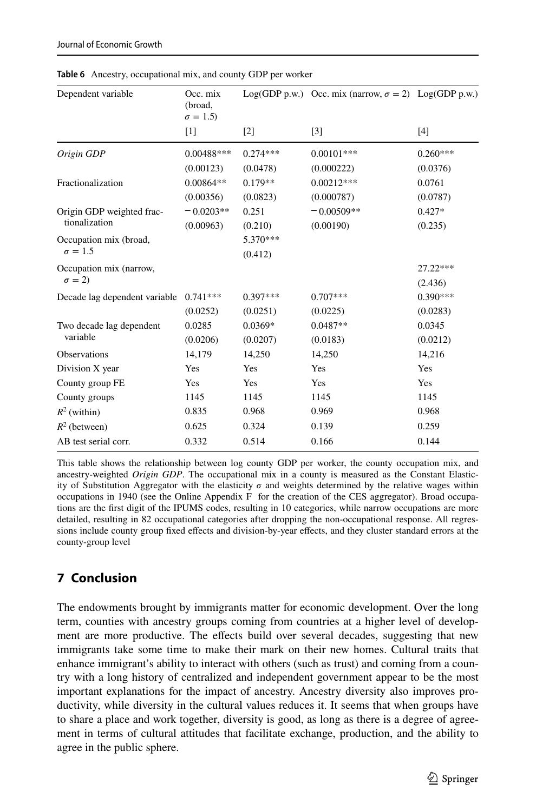| Dependent variable                      | Occ. mix<br>(broad,<br>$\sigma = 1.5$ |            | Log(GDP p.w.) Occ. mix (narrow, $\sigma = 2$ ) Log(GDP p.w.) |                       |
|-----------------------------------------|---------------------------------------|------------|--------------------------------------------------------------|-----------------------|
|                                         | $[1]$                                 | $[2]$      | $[3]$                                                        | $[4]$                 |
| Origin GDP                              | $0.00488***$                          | $0.274***$ | $0.00101***$                                                 | $0.260***$            |
|                                         | (0.00123)                             | (0.0478)   | (0.000222)                                                   | (0.0376)              |
| Fractionalization                       | $0.00864**$                           | $0.179**$  | $0.00212***$                                                 | 0.0761                |
|                                         | (0.00356)                             | (0.0823)   | (0.000787)                                                   | (0.0787)              |
| Origin GDP weighted frac-               | $-0.0203**$                           | 0.251      | $-0.00509**$                                                 | $0.427*$              |
| tionalization                           | (0.00963)                             | (0.210)    | (0.00190)                                                    | (0.235)               |
| Occupation mix (broad,                  |                                       | 5.370***   |                                                              |                       |
| $\sigma = 1.5$                          |                                       | (0.412)    |                                                              |                       |
| Occupation mix (narrow,<br>$\sigma = 2$ |                                       |            |                                                              | $27.22***$<br>(2.436) |
| Decade lag dependent variable           | $0.741***$                            | $0.397***$ | $0.707***$                                                   | $0.390***$            |
|                                         | (0.0252)                              | (0.0251)   | (0.0225)                                                     | (0.0283)              |
| Two decade lag dependent                | 0.0285                                | $0.0369*$  | $0.0487**$                                                   | 0.0345                |
| variable                                | (0.0206)                              | (0.0207)   | (0.0183)                                                     | (0.0212)              |
| Observations                            | 14,179                                | 14,250     | 14,250                                                       | 14,216                |
| Division X year                         | Yes                                   | Yes        | Yes                                                          | Yes                   |
| County group FE                         | Yes                                   | Yes        | Yes                                                          | Yes                   |
| County groups                           | 1145                                  | 1145       | 1145                                                         | 1145                  |
| $R^2$ (within)                          | 0.835                                 | 0.968      | 0.969                                                        | 0.968                 |
| $R^2$ (between)                         | 0.625                                 | 0.324      | 0.139                                                        | 0.259                 |
| AB test serial corr.                    | 0.332                                 | 0.514      | 0.166                                                        | 0.144                 |
|                                         |                                       |            |                                                              |                       |

<span id="page-36-1"></span>**Table 6** Ancestry, occupational mix, and county GDP per worker

This table shows the relationship between log county GDP per worker, the county occupation mix, and ancestry-weighted *Origin GDP*. The occupational mix in a county is measured as the Constant Elasticity of Substitution Aggregator with the elasticity  $\sigma$  and weights determined by the relative wages within occupations in 1940 (see the Online Appendix F for the creation of the CES aggregator). Broad occupations are the first digit of the IPUMS codes, resulting in 10 categories, while narrow occupations are more detailed, resulting in 82 occupational categories after dropping the non-occupational response. All regressions include county group fixed effects and division-by-year effects, and they cluster standard errors at the county-group level

## <span id="page-36-0"></span>**7 Conclusion**

The endowments brought by immigrants matter for economic development. Over the long term, counties with ancestry groups coming from countries at a higher level of development are more productive. The effects build over several decades, suggesting that new immigrants take some time to make their mark on their new homes. Cultural traits that enhance immigrant's ability to interact with others (such as trust) and coming from a country with a long history of centralized and independent government appear to be the most important explanations for the impact of ancestry. Ancestry diversity also improves productivity, while diversity in the cultural values reduces it. It seems that when groups have to share a place and work together, diversity is good, as long as there is a degree of agreement in terms of cultural attitudes that facilitate exchange, production, and the ability to agree in the public sphere.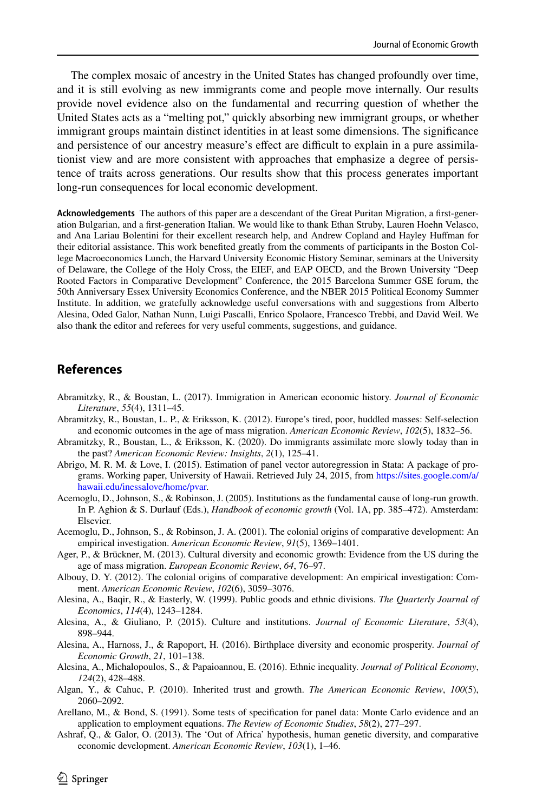The complex mosaic of ancestry in the United States has changed profoundly over time, and it is still evolving as new immigrants come and people move internally. Our results provide novel evidence also on the fundamental and recurring question of whether the United States acts as a "melting pot," quickly absorbing new immigrant groups, or whether immigrant groups maintain distinct identities in at least some dimensions. The significance and persistence of our ancestry measure's effect are difficult to explain in a pure assimilationist view and are more consistent with approaches that emphasize a degree of persistence of traits across generations. Our results show that this process generates important long-run consequences for local economic development.

**Acknowledgements** The authors of this paper are a descendant of the Great Puritan Migration, a first-generation Bulgarian, and a first-generation Italian. We would like to thank Ethan Struby, Lauren Hoehn Velasco, and Ana Lariau Bolentini for their excellent research help, and Andrew Copland and Hayley Huffman for their editorial assistance. This work benefited greatly from the comments of participants in the Boston College Macroeconomics Lunch, the Harvard University Economic History Seminar, seminars at the University of Delaware, the College of the Holy Cross, the EIEF, and EAP OECD, and the Brown University "Deep Rooted Factors in Comparative Development" Conference, the 2015 Barcelona Summer GSE forum, the 50th Anniversary Essex University Economics Conference, and the NBER 2015 Political Economy Summer Institute. In addition, we gratefully acknowledge useful conversations with and suggestions from Alberto Alesina, Oded Galor, Nathan Nunn, Luigi Pascalli, Enrico Spolaore, Francesco Trebbi, and David Weil. We also thank the editor and referees for very useful comments, suggestions, and guidance.

## **References**

- <span id="page-37-7"></span>Abramitzky, R., & Boustan, L. (2017). Immigration in American economic history. *Journal of Economic Literature*, *55*(4), 1311–45.
- <span id="page-37-13"></span>Abramitzky, R., Boustan, L. P., & Eriksson, K. (2012). Europe's tired, poor, huddled masses: Self-selection and economic outcomes in the age of mass migration. *American Economic Review*, *102*(5), 1832–56.
- <span id="page-37-0"></span>Abramitzky, R., Boustan, L., & Eriksson, K. (2020). Do immigrants assimilate more slowly today than in the past? *American Economic Review: Insights*, *2*(1), 125–41.
- <span id="page-37-14"></span>Abrigo, M. R. M. & Love, I. (2015). Estimation of panel vector autoregression in Stata: A package of programs. Working paper, University of Hawaii. Retrieved July 24, 2015, from https://sites.google.com/a/ hawaii.edu/inessalove/home/pvar.
- <span id="page-37-5"></span>Acemoglu, D., Johnson, S., & Robinson, J. (2005). Institutions as the fundamental cause of long-run growth. In P. Aghion & S. Durlauf (Eds.), *Handbook of economic growth* (Vol. 1A, pp. 385–472). Amsterdam: Elsevier.
- <span id="page-37-2"></span>Acemoglu, D., Johnson, S., & Robinson, J. A. (2001). The colonial origins of comparative development: An empirical investigation. *American Economic Review*, *91*(5), 1369–1401.
- <span id="page-37-9"></span>Ager, P., & Brückner, M. (2013). Cultural diversity and economic growth: Evidence from the US during the age of mass migration. *European Economic Review*, *64*, 76–97.
- <span id="page-37-3"></span>Albouy, D. Y. (2012). The colonial origins of comparative development: An empirical investigation: Comment. *American Economic Review*, *102*(6), 3059–3076.
- <span id="page-37-11"></span>Alesina, A., Baqir, R., & Easterly, W. (1999). Public goods and ethnic divisions. *The Quarterly Journal of Economics*, *114*(4), 1243–1284.
- <span id="page-37-6"></span>Alesina, A., & Giuliano, P. (2015). Culture and institutions. *Journal of Economic Literature*, *53*(4), 898–944.
- <span id="page-37-10"></span>Alesina, A., Harnoss, J., & Rapoport, H. (2016). Birthplace diversity and economic prosperity. *Journal of Economic Growth*, *21*, 101–138.
- <span id="page-37-8"></span>Alesina, A., Michalopoulos, S., & Papaioannou, E. (2016). Ethnic inequality. *Journal of Political Economy*, *124*(2), 428–488.
- <span id="page-37-4"></span>Algan, Y., & Cahuc, P. (2010). Inherited trust and growth. *The American Economic Review*, *100*(5), 2060–2092.
- <span id="page-37-1"></span>Arellano, M., & Bond, S. (1991). Some tests of specification for panel data: Monte Carlo evidence and an application to employment equations. *The Review of Economic Studies*, *58*(2), 277–297.
- <span id="page-37-12"></span>Ashraf, Q., & Galor, O. (2013). The 'Out of Africa' hypothesis, human genetic diversity, and comparative economic development. *American Economic Review*, *103*(1), 1–46.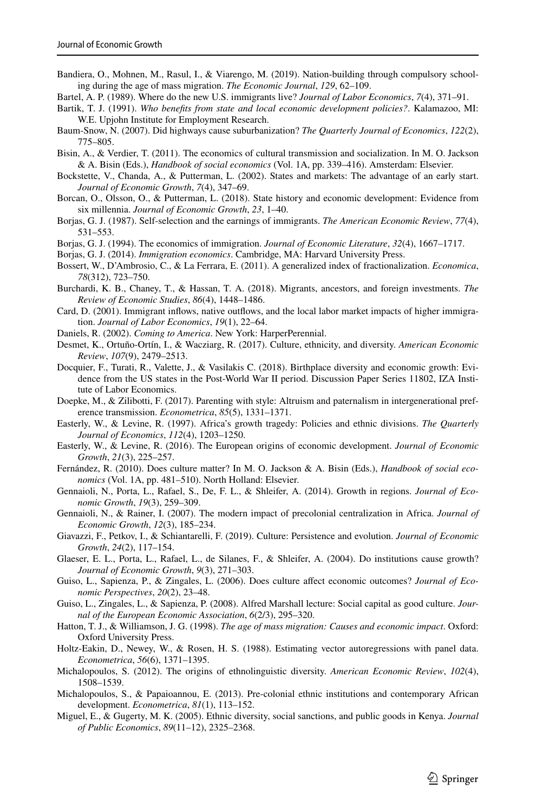- <span id="page-38-10"></span>Bandiera, O., Mohnen, M., Rasul, I., & Viarengo, M. (2019). Nation-building through compulsory schooling during the age of mass migration. *The Economic Journal*, *129*, 62–109.
- <span id="page-38-25"></span>Bartel, A. P. (1989). Where do the new U.S. immigrants live? *Journal of Labor Economics*, *7*(4), 371–91.
- <span id="page-38-7"></span>Bartik, T. J. (1991). *Who benefits from state and local economic development policies?*. Kalamazoo, MI: W.E. Upjohn Institute for Employment Research.
- <span id="page-38-26"></span>Baum-Snow, N. (2007). Did highways cause suburbanization? *The Quarterly Journal of Economics*, *122*(2), 775–805.
- <span id="page-38-2"></span>Bisin, A., & Verdier, T. (2011). The economics of cultural transmission and socialization. In M. O. Jackson & A. Bisin (Eds.), *Handbook of social economics* (Vol. 1A, pp. 339–416). Amsterdam: Elsevier.
- <span id="page-38-9"></span>Bockstette, V., Chanda, A., & Putterman, L. (2002). States and markets: The advantage of an early start. *Journal of Economic Growth*, *7*(4), 347–69.
- <span id="page-38-24"></span>Borcan, O., Olsson, O., & Putterman, L. (2018). State history and economic development: Evidence from six millennia. *Journal of Economic Growth*, *23*, 1–40.
- <span id="page-38-8"></span>Borjas, G. J. (1987). Self-selection and the earnings of immigrants. *The American Economic Review*, *77*(4), 531–553.
- <span id="page-38-17"></span>Borjas, G. J. (1994). The economics of immigration. *Journal of Economic Literature*, *32*(4), 1667–1717.
- <span id="page-38-16"></span>Borjas, G. J. (2014). *Immigration economics*. Cambridge, MA: Harvard University Press.
- <span id="page-38-29"></span>Bossert, W., D'Ambrosio, C., & La Ferrara, E. (2011). A generalized index of fractionalization. *Economica*, *78*(312), 723–750.
- <span id="page-38-13"></span>Burchardi, K. B., Chaney, T., & Hassan, T. A. (2018). Migrants, ancestors, and foreign investments. *The Review of Economic Studies*, *86*(4), 1448–1486.
- <span id="page-38-6"></span>Card, D. (2001). Immigrant inflows, native outflows, and the local labor market impacts of higher immigration. *Journal of Labor Economics*, *19*(1), 22–64.
- <span id="page-38-0"></span>Daniels, R. (2002). *Coming to America*. New York: HarperPerennial.
- <span id="page-38-19"></span>Desmet, K., Ortuño-Ortín, I., & Wacziarg, R. (2017). Culture, ethnicity, and diversity. *American Economic Review*, *107*(9), 2479–2513.
- <span id="page-38-21"></span>Docquier, F., Turati, R., Valette, J., & Vasilakis C. (2018). Birthplace diversity and economic growth: Evidence from the US states in the Post-World War II period. Discussion Paper Series 11802, IZA Institute of Labor Economics.
- <span id="page-38-3"></span>Doepke, M., & Zilibotti, F. (2017). Parenting with style: Altruism and paternalism in intergenerational preference transmission. *Econometrica*, *85*(5), 1331–1371.
- <span id="page-38-23"></span>Easterly, W., & Levine, R. (1997). Africa's growth tragedy: Policies and ethnic divisions. *The Quarterly Journal of Economics*, *112*(4), 1203–1250.
- <span id="page-38-12"></span>Easterly, W., & Levine, R. (2016). The European origins of economic development. *Journal of Economic Growth*, *21*(3), 225–257.
- <span id="page-38-1"></span>Fernández, R. (2010). Does culture matter? In M. O. Jackson & A. Bisin (Eds.), *Handbook of social economics* (Vol. 1A, pp. 481–510). North Holland: Elsevier.
- <span id="page-38-30"></span>Gennaioli, N., Porta, L., Rafael, S., De, F. L., & Shleifer, A. (2014). Growth in regions. *Journal of Economic Growth*, *19*(3), 259–309.
- <span id="page-38-28"></span>Gennaioli, N., & Rainer, I. (2007). The modern impact of precolonial centralization in Africa. *Journal of Economic Growth*, *12*(3), 185–234.
- <span id="page-38-4"></span>Giavazzi, F., Petkov, I., & Schiantarelli, F. (2019). Culture: Persistence and evolution. *Journal of Economic Growth*, *24*(2), 117–154.
- <span id="page-38-11"></span>Glaeser, E. L., Porta, L., Rafael, L., de Silanes, F., & Shleifer, A. (2004). Do institutions cause growth? *Journal of Economic Growth*, *9*(3), 271–303.
- <span id="page-38-14"></span>Guiso, L., Sapienza, P., & Zingales, L. (2006). Does culture affect economic outcomes? *Journal of Economic Perspectives*, *20*(2), 23–48.
- <span id="page-38-15"></span>Guiso, L., Zingales, L., & Sapienza, P. (2008). Alfred Marshall lecture: Social capital as good culture. *Journal of the European Economic Association*, *6*(2/3), 295–320.
- <span id="page-38-18"></span>Hatton, T. J., & Williamson, J. G. (1998). *The age of mass migration: Causes and economic impact*. Oxford: Oxford University Press.
- <span id="page-38-5"></span>Holtz-Eakin, D., Newey, W., & Rosen, H. S. (1988). Estimating vector autoregressions with panel data. *Econometrica*, *56*(6), 1371–1395.
- <span id="page-38-20"></span>Michalopoulos, S. (2012). The origins of ethnolinguistic diversity. *American Economic Review*, *102*(4), 1508–1539.
- <span id="page-38-27"></span>Michalopoulos, S., & Papaioannou, E. (2013). Pre-colonial ethnic institutions and contemporary African development. *Econometrica*, *81*(1), 113–152.
- <span id="page-38-22"></span>Miguel, E., & Gugerty, M. K. (2005). Ethnic diversity, social sanctions, and public goods in Kenya. *Journal of Public Economics*, *89*(11–12), 2325–2368.